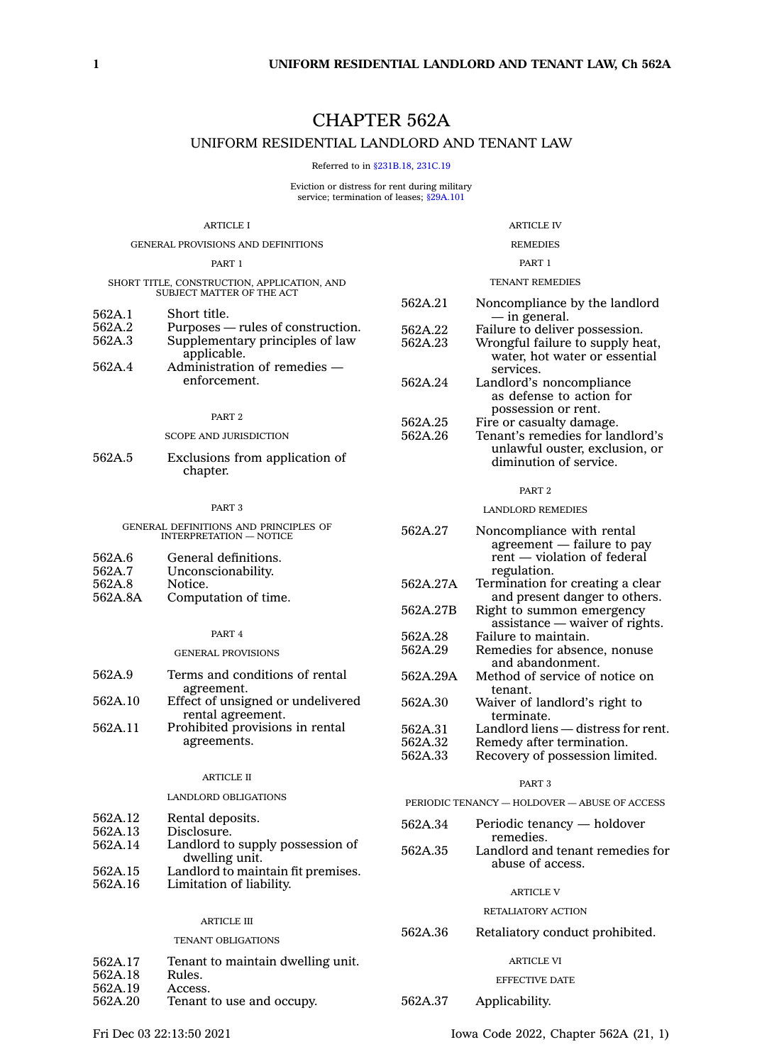# CHAPTER 562A

# UNIFORM RESIDENTIAL LANDLORD AND TENANT LAW

Referred to in [§231B.18](https://www.legis.iowa.gov/docs/code/231B.18.pdf), [231C.19](https://www.legis.iowa.gov/docs/code/231C.19.pdf)

Eviction or distress for rent during military service; termination of leases; [§29A.101](https://www.legis.iowa.gov/docs/code/29A.101.pdf)

| ARTICLE I                                                                |                                                                                                 | ARTICLE IV                    |                                                                                                                      |  |
|--------------------------------------------------------------------------|-------------------------------------------------------------------------------------------------|-------------------------------|----------------------------------------------------------------------------------------------------------------------|--|
| GENERAL PROVISIONS AND DEFINITIONS                                       |                                                                                                 |                               | <b>REMEDIES</b>                                                                                                      |  |
| PART 1                                                                   |                                                                                                 | PART 1                        |                                                                                                                      |  |
| SHORT TITLE, CONSTRUCTION, APPLICATION, AND<br>SUBJECT MATTER OF THE ACT |                                                                                                 |                               | <b>TENANT REMEDIES</b>                                                                                               |  |
| 562A.1<br>562A.2<br>562A.3                                               | Short title.<br>Purposes — rules of construction.<br>Supplementary principles of law            | 562A.21<br>562A.22<br>562A.23 | Noncompliance by the landlord<br>— in general.<br>Failure to deliver possession.<br>Wrongful failure to supply heat, |  |
| 562A.4                                                                   | applicable.<br>Administration of remedies -<br>enforcement.                                     | 562A.24                       | water, hot water or essential<br>services.<br>Landlord's noncompliance                                               |  |
|                                                                          | PART <sub>2</sub>                                                                               |                               | as defense to action for<br>possession or rent.                                                                      |  |
|                                                                          | <b>SCOPE AND JURISDICTION</b>                                                                   | 562A.25<br>562A.26            | Fire or casualty damage.<br>Tenant's remedies for landlord's                                                         |  |
| 562A.5                                                                   | Exclusions from application of<br>chapter.                                                      |                               | unlawful ouster, exclusion, or<br>diminution of service.                                                             |  |
|                                                                          |                                                                                                 |                               | PART <sub>2</sub>                                                                                                    |  |
|                                                                          | PART <sub>3</sub>                                                                               |                               | <b>LANDLORD REMEDIES</b>                                                                                             |  |
| 562A.6                                                                   | GENERAL DEFINITIONS AND PRINCIPLES OF<br><b>INTERPRETATION - NOTICE</b><br>General definitions. | 562A.27                       | Noncompliance with rental<br>agreement - failure to pay<br>rent — violation of federal                               |  |
| 562A.7<br>562A.8                                                         | Unconscionability.<br>Notice.                                                                   | 562A.27A                      | regulation.<br>Termination for creating a clear                                                                      |  |
| 562A.8A                                                                  | Computation of time.                                                                            | 562A.27B                      | and present danger to others.<br>Right to summon emergency                                                           |  |
|                                                                          | PART 4                                                                                          | 562A.28                       | $\overline{a}$ assistance — waiver of rights.<br>Failure to maintain.                                                |  |
|                                                                          | <b>GENERAL PROVISIONS</b>                                                                       | 562A.29                       | Remedies for absence, nonuse<br>and abandonment.                                                                     |  |
| 562A.9                                                                   | Terms and conditions of rental<br>agreement.                                                    | 562A.29A                      | Method of service of notice on<br>tenant.                                                                            |  |
| 562A.10                                                                  | Effect of unsigned or undelivered<br>rental agreement.                                          | 562A.30                       | Waiver of landlord's right to<br>terminate.                                                                          |  |
| 562A.11                                                                  | Prohibited provisions in rental<br>agreements.                                                  | 562A.31<br>562A.32<br>562A.33 | Landlord liens - distress for rent.<br>Remedy after termination.<br>Recovery of possession limited.                  |  |
|                                                                          | <b>ARTICLE II</b>                                                                               |                               | PART <sub>3</sub>                                                                                                    |  |
|                                                                          | LANDLORD OBLIGATIONS                                                                            |                               | PERIODIC TENANCY - HOLDOVER - ABUSE OF ACCESS                                                                        |  |
| 562A.12<br>562A.13                                                       | Rental deposits.<br>Disclosure.                                                                 | 562A.34                       | Periodic tenancy — holdover<br>remedies.                                                                             |  |
| 562A.14                                                                  | Landlord to supply possession of<br>dwelling unit.                                              | 562A.35                       | Landlord and tenant remedies for<br>abuse of access.                                                                 |  |
| 562A.15<br>562A.16                                                       | Landlord to maintain fit premises.<br>Limitation of liability.                                  |                               | <b>ARTICLE V</b>                                                                                                     |  |
|                                                                          |                                                                                                 |                               | RETALIATORY ACTION                                                                                                   |  |
| <b>ARTICLE III</b><br>TENANT OBLIGATIONS                                 |                                                                                                 | 562A.36                       | Retaliatory conduct prohibited.                                                                                      |  |
| 562A.17<br>562A.18                                                       | Tenant to maintain dwelling unit.<br>Rules.                                                     |                               | ARTICLE VI                                                                                                           |  |
| 562A.19<br>562A.20                                                       | Access.<br>Tenant to use and occupy.                                                            | 562A.37                       | EFFECTIVE DATE<br>Applicability.                                                                                     |  |
|                                                                          |                                                                                                 |                               |                                                                                                                      |  |
|                                                                          |                                                                                                 |                               |                                                                                                                      |  |

Fri Dec 03 22:13:50 2021 Iowa Code 2022, Chapter 562A (21, 1)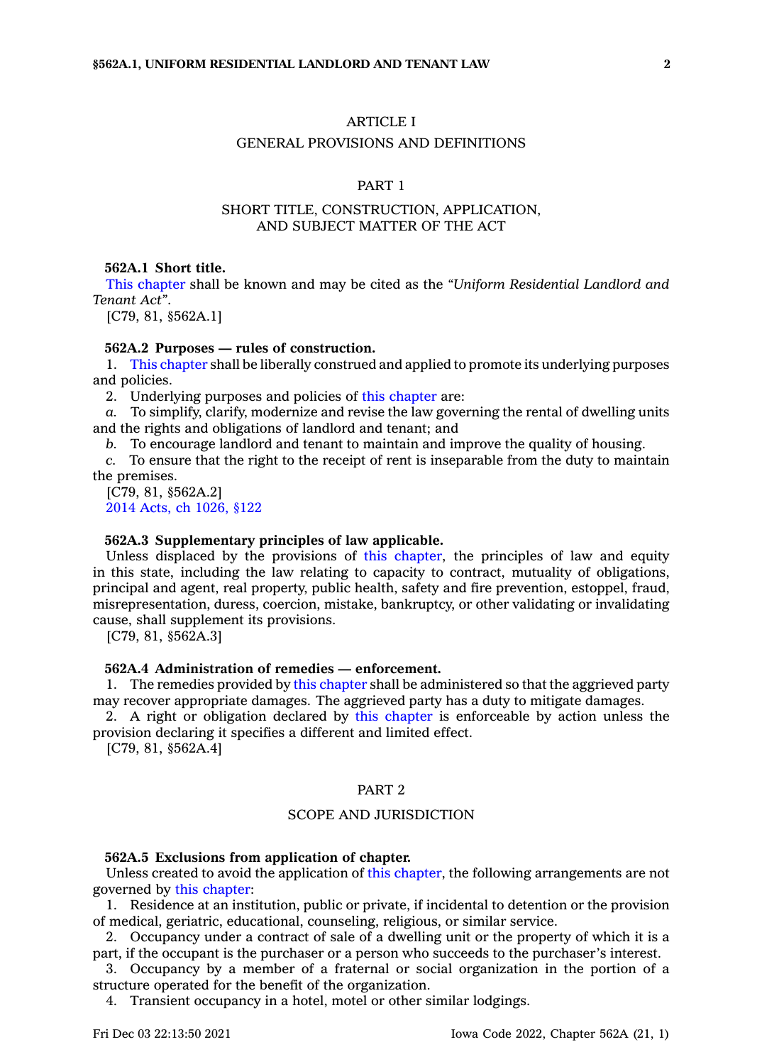# ARTICLE I

### GENERAL PROVISIONS AND DEFINITIONS

# PART 1

# SHORT TITLE, CONSTRUCTION, APPLICATION, AND SUBJECT MATTER OF THE ACT

## **562A.1 Short title.**

This [chapter](https://www.legis.iowa.gov/docs/code//562A.pdf) shall be known and may be cited as the *"Uniform Residential Landlord and Tenant Act"*.

[C79, 81, §562A.1]

# **562A.2 Purposes — rules of construction.**

1. This [chapter](https://www.legis.iowa.gov/docs/code//562A.pdf) shall be liberally construed and applied to promote its underlying purposes and policies.

2. Underlying purposes and policies of this [chapter](https://www.legis.iowa.gov/docs/code//562A.pdf) are:

*a.* To simplify, clarify, modernize and revise the law governing the rental of dwelling units and the rights and obligations of landlord and tenant; and

*b.* To encourage landlord and tenant to maintain and improve the quality of housing.

*c.* To ensure that the right to the receipt of rent is inseparable from the duty to maintain the premises.

[C79, 81, §562A.2] 2014 Acts, ch [1026,](https://www.legis.iowa.gov/docs/acts/2014/CH1026.pdf) §122

## **562A.3 Supplementary principles of law applicable.**

Unless displaced by the provisions of this [chapter](https://www.legis.iowa.gov/docs/code//562A.pdf), the principles of law and equity in this state, including the law relating to capacity to contract, mutuality of obligations, principal and agent, real property, public health, safety and fire prevention, estoppel, fraud, misrepresentation, duress, coercion, mistake, bankruptcy, or other validating or invalidating cause, shall supplement its provisions.

[C79, 81, §562A.3]

### **562A.4 Administration of remedies — enforcement.**

1. The remedies provided by this [chapter](https://www.legis.iowa.gov/docs/code//562A.pdf) shall be administered so that the aggrieved party may recover appropriate damages. The aggrieved party has <sup>a</sup> duty to mitigate damages.

2. A right or obligation declared by this [chapter](https://www.legis.iowa.gov/docs/code//562A.pdf) is enforceable by action unless the provision declaring it specifies <sup>a</sup> different and limited effect.

[C79, 81, §562A.4]

## PART 2

#### SCOPE AND JURISDICTION

#### **562A.5 Exclusions from application of chapter.**

Unless created to avoid the application of this [chapter](https://www.legis.iowa.gov/docs/code//562A.pdf), the following arrangements are not governed by this [chapter](https://www.legis.iowa.gov/docs/code//562A.pdf):

1. Residence at an institution, public or private, if incidental to detention or the provision of medical, geriatric, educational, counseling, religious, or similar service.

2. Occupancy under <sup>a</sup> contract of sale of <sup>a</sup> dwelling unit or the property of which it is <sup>a</sup> part, if the occupant is the purchaser or <sup>a</sup> person who succeeds to the purchaser's interest.

3. Occupancy by <sup>a</sup> member of <sup>a</sup> fraternal or social organization in the portion of <sup>a</sup> structure operated for the benefit of the organization.

4. Transient occupancy in <sup>a</sup> hotel, motel or other similar lodgings.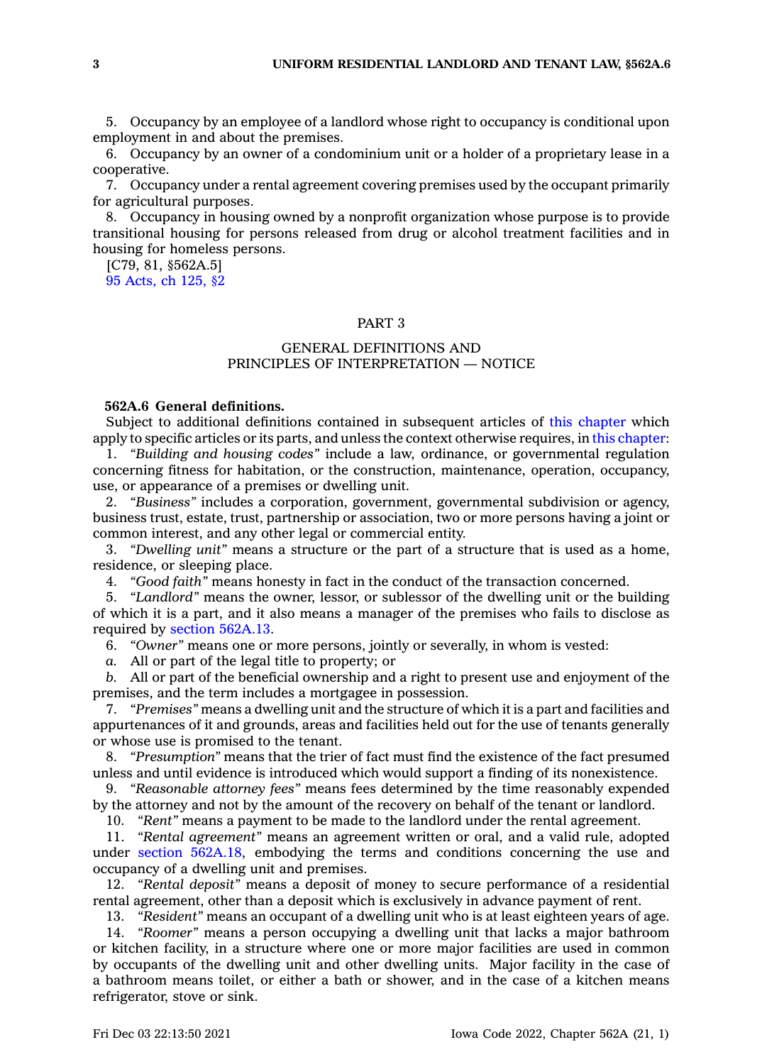5. Occupancy by an employee of <sup>a</sup> landlord whose right to occupancy is conditional upon employment in and about the premises.

6. Occupancy by an owner of <sup>a</sup> condominium unit or <sup>a</sup> holder of <sup>a</sup> proprietary lease in <sup>a</sup> cooperative.

7. Occupancy under <sup>a</sup> rental agreement covering premises used by the occupant primarily for agricultural purposes.

8. Occupancy in housing owned by <sup>a</sup> nonprofit organization whose purpose is to provide transitional housing for persons released from drug or alcohol treatment facilities and in housing for homeless persons.

[C79, 81, §562A.5] 95 [Acts,](https://www.legis.iowa.gov/docs/acts/1995/CH0125.pdf) ch 125, §2

# PART 3

# GENERAL DEFINITIONS AND PRINCIPLES OF INTERPRETATION — NOTICE

# **562A.6 General definitions.**

Subject to additional definitions contained in subsequent articles of this [chapter](https://www.legis.iowa.gov/docs/code//562A.pdf) which apply to specific articles or its parts, and unless the context otherwise requires, in this [chapter](https://www.legis.iowa.gov/docs/code//562A.pdf):

1. *"Building and housing codes"* include <sup>a</sup> law, ordinance, or governmental regulation concerning fitness for habitation, or the construction, maintenance, operation, occupancy, use, or appearance of <sup>a</sup> premises or dwelling unit.

2. *"Business"* includes <sup>a</sup> corporation, government, governmental subdivision or agency, business trust, estate, trust, partnership or association, two or more persons having <sup>a</sup> joint or common interest, and any other legal or commercial entity.

3. *"Dwelling unit"* means <sup>a</sup> structure or the part of <sup>a</sup> structure that is used as <sup>a</sup> home, residence, or sleeping place.

4. *"Good faith"* means honesty in fact in the conduct of the transaction concerned.

5. *"Landlord"* means the owner, lessor, or sublessor of the dwelling unit or the building of which it is <sup>a</sup> part, and it also means <sup>a</sup> manager of the premises who fails to disclose as required by section [562A.13](https://www.legis.iowa.gov/docs/code/562A.13.pdf).

6. *"Owner"* means one or more persons, jointly or severally, in whom is vested:

*a.* All or part of the legal title to property; or

*b.* All or part of the beneficial ownership and <sup>a</sup> right to present use and enjoyment of the premises, and the term includes <sup>a</sup> mortgagee in possession.

7. *"Premises"* means <sup>a</sup> dwelling unit and the structure of which it is <sup>a</sup> part and facilities and appurtenances of it and grounds, areas and facilities held out for the use of tenants generally or whose use is promised to the tenant.

8. *"Presumption"* means that the trier of fact must find the existence of the fact presumed unless and until evidence is introduced which would support <sup>a</sup> finding of its nonexistence.

9. *"Reasonable attorney fees"* means fees determined by the time reasonably expended by the attorney and not by the amount of the recovery on behalf of the tenant or landlord.

10. *"Rent"* means <sup>a</sup> payment to be made to the landlord under the rental agreement.

11. *"Rental agreement"* means an agreement written or oral, and <sup>a</sup> valid rule, adopted under section [562A.18](https://www.legis.iowa.gov/docs/code/562A.18.pdf), embodying the terms and conditions concerning the use and occupancy of <sup>a</sup> dwelling unit and premises.

12. *"Rental deposit"* means <sup>a</sup> deposit of money to secure performance of <sup>a</sup> residential rental agreement, other than <sup>a</sup> deposit which is exclusively in advance payment of rent.

13. *"Resident"* means an occupant of <sup>a</sup> dwelling unit who is at least eighteen years of age.

14. *"Roomer"* means <sup>a</sup> person occupying <sup>a</sup> dwelling unit that lacks <sup>a</sup> major bathroom or kitchen facility, in <sup>a</sup> structure where one or more major facilities are used in common by occupants of the dwelling unit and other dwelling units. Major facility in the case of <sup>a</sup> bathroom means toilet, or either <sup>a</sup> bath or shower, and in the case of <sup>a</sup> kitchen means refrigerator, stove or sink.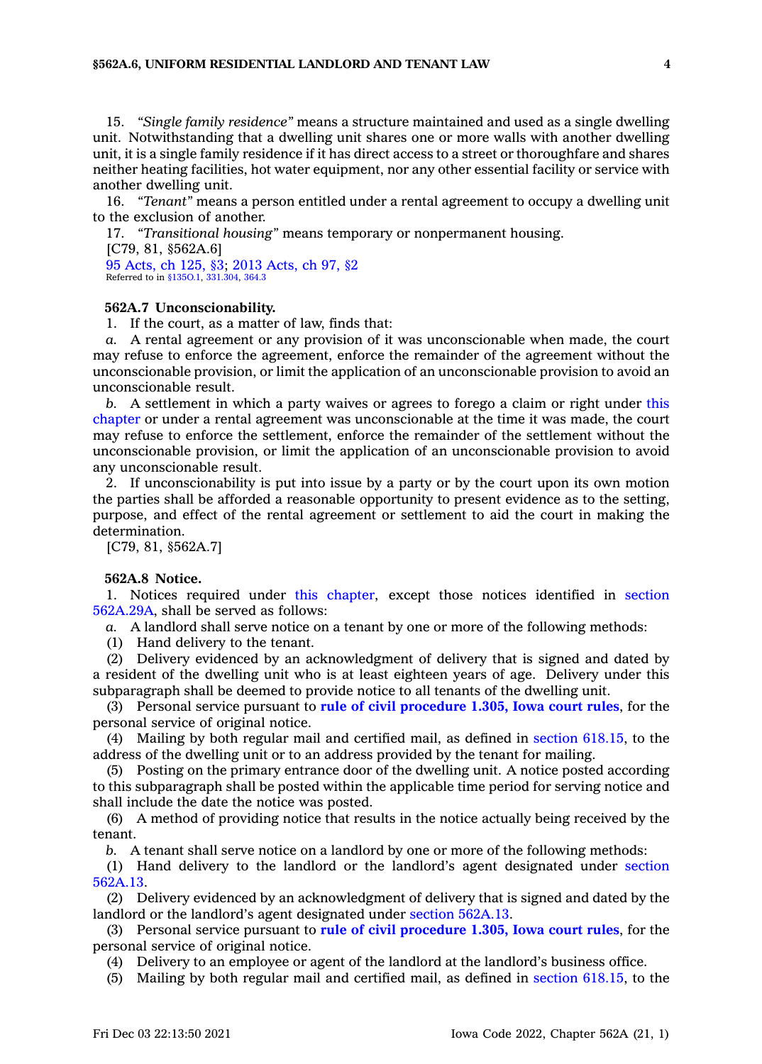15. *"Single family residence"* means <sup>a</sup> structure maintained and used as <sup>a</sup> single dwelling unit. Notwithstanding that <sup>a</sup> dwelling unit shares one or more walls with another dwelling unit, it is <sup>a</sup> single family residence if it has direct access to <sup>a</sup> street or thoroughfare and shares neither heating facilities, hot water equipment, nor any other essential facility or service with another dwelling unit.

16. *"Tenant"* means <sup>a</sup> person entitled under <sup>a</sup> rental agreement to occupy <sup>a</sup> dwelling unit to the exclusion of another.

17. *"Transitional housing"* means temporary or nonpermanent housing. [C79, 81, §562A.6] 95 [Acts,](https://www.legis.iowa.gov/docs/acts/1995/CH0125.pdf) ch 125, §3; 2013 [Acts,](https://www.legis.iowa.gov/docs/acts/2013/CH0097.pdf) ch 97, §2 Referred to in [§135O.1,](https://www.legis.iowa.gov/docs/code/135O.1.pdf) [331.304](https://www.legis.iowa.gov/docs/code/331.304.pdf), [364.3](https://www.legis.iowa.gov/docs/code/364.3.pdf)

#### **562A.7 Unconscionability.**

1. If the court, as <sup>a</sup> matter of law, finds that:

*a.* A rental agreement or any provision of it was unconscionable when made, the court may refuse to enforce the agreement, enforce the remainder of the agreement without the unconscionable provision, or limit the application of an unconscionable provision to avoid an unconscionable result.

*b.* A settlement in which <sup>a</sup> party waives or agrees to forego <sup>a</sup> claim or right under [this](https://www.legis.iowa.gov/docs/code//562A.pdf) [chapter](https://www.legis.iowa.gov/docs/code//562A.pdf) or under <sup>a</sup> rental agreement was unconscionable at the time it was made, the court may refuse to enforce the settlement, enforce the remainder of the settlement without the unconscionable provision, or limit the application of an unconscionable provision to avoid any unconscionable result.

2. If unconscionability is put into issue by <sup>a</sup> party or by the court upon its own motion the parties shall be afforded <sup>a</sup> reasonable opportunity to present evidence as to the setting, purpose, and effect of the rental agreement or settlement to aid the court in making the determination.

[C79, 81, §562A.7]

#### **562A.8 Notice.**

1. Notices required under this [chapter](https://www.legis.iowa.gov/docs/code//562A.pdf), except those notices identified in [section](https://www.legis.iowa.gov/docs/code/562A.29A.pdf) [562A.29A](https://www.legis.iowa.gov/docs/code/562A.29A.pdf), shall be served as follows:

*a.* A landlord shall serve notice on <sup>a</sup> tenant by one or more of the following methods:

(1) Hand delivery to the tenant.

(2) Delivery evidenced by an acknowledgment of delivery that is signed and dated by <sup>a</sup> resident of the dwelling unit who is at least eighteen years of age. Delivery under this subparagraph shall be deemed to provide notice to all tenants of the dwelling unit.

(3) Personal service pursuant to **rule of civil [procedure](https://www.legis.iowa.gov/docs/ACO/CourtRulesChapter/1.pdf) 1.305, Iowa court rules**, for the personal service of original notice.

(4) Mailing by both regular mail and certified mail, as defined in section [618.15](https://www.legis.iowa.gov/docs/code/618.15.pdf), to the address of the dwelling unit or to an address provided by the tenant for mailing.

(5) Posting on the primary entrance door of the dwelling unit. A notice posted according to this subparagraph shall be posted within the applicable time period for serving notice and shall include the date the notice was posted.

(6) A method of providing notice that results in the notice actually being received by the tenant.

*b.* A tenant shall serve notice on <sup>a</sup> landlord by one or more of the following methods:

(1) Hand delivery to the landlord or the landlord's agent designated under [section](https://www.legis.iowa.gov/docs/code/562A.13.pdf) [562A.13](https://www.legis.iowa.gov/docs/code/562A.13.pdf).

(2) Delivery evidenced by an acknowledgment of delivery that is signed and dated by the landlord or the landlord's agent designated under section [562A.13](https://www.legis.iowa.gov/docs/code/562A.13.pdf).

(3) Personal service pursuant to **rule of civil [procedure](https://www.legis.iowa.gov/docs/ACO/CourtRulesChapter/1.pdf) 1.305, Iowa court rules**, for the personal service of original notice.

(4) Delivery to an employee or agent of the landlord at the landlord's business office.

(5) Mailing by both regular mail and certified mail, as defined in section [618.15](https://www.legis.iowa.gov/docs/code/618.15.pdf), to the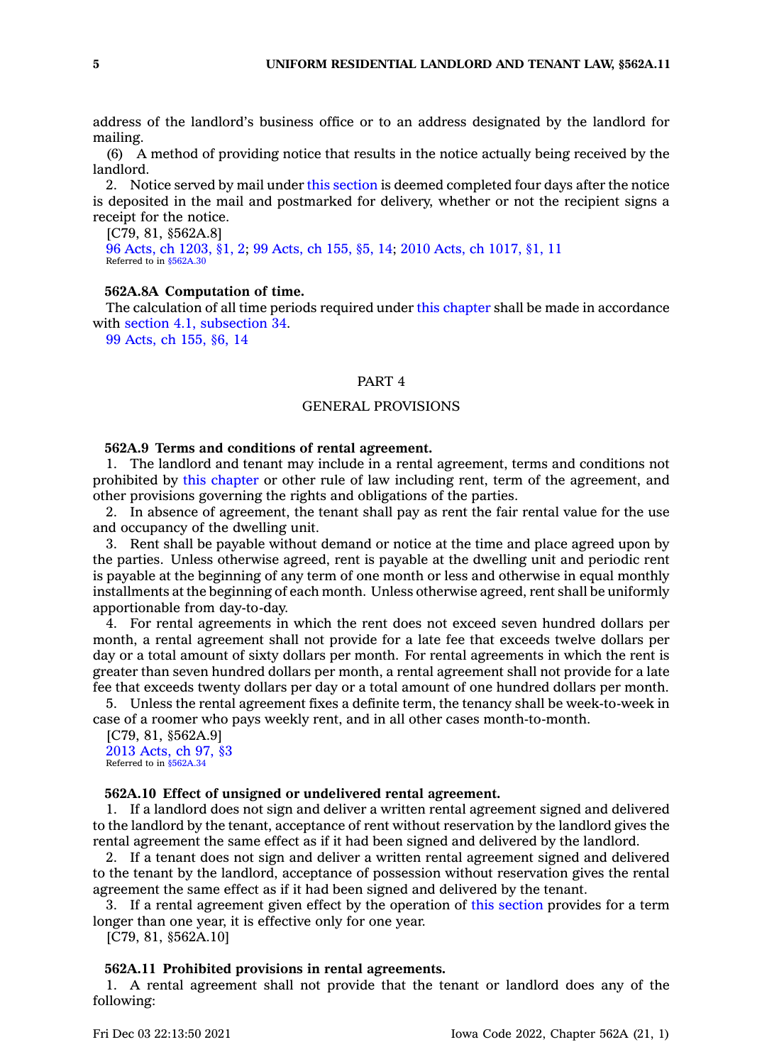address of the landlord's business office or to an address designated by the landlord for mailing.

(6) A method of providing notice that results in the notice actually being received by the landlord.

2. Notice served by mail under this [section](https://www.legis.iowa.gov/docs/code/562A.8.pdf) is deemed completed four days after the notice is deposited in the mail and postmarked for delivery, whether or not the recipient signs <sup>a</sup> receipt for the notice.

[C79, 81, §562A.8]

96 Acts, ch [1203,](https://www.legis.iowa.gov/docs/acts/1996/CH1203.pdf) §1, 2; 99 [Acts,](https://www.legis.iowa.gov/docs/acts/99/CH0155.pdf) ch 155, §5, 14; 2010 Acts, ch [1017,](https://www.legis.iowa.gov/docs/acts/2010/CH1017.pdf) §1, 11 Referred to in [§562A.30](https://www.legis.iowa.gov/docs/code/562A.30.pdf)

# **562A.8A Computation of time.**

The calculation of all time periods required under this [chapter](https://www.legis.iowa.gov/docs/code//562A.pdf) shall be made in accordance with section 4.1, [subsection](https://www.legis.iowa.gov/docs/code/4.1.pdf) 34.

99 [Acts,](https://www.legis.iowa.gov/docs/acts/1999/CH0155.pdf) ch 155, §6, 14

# PART 4

# GENERAL PROVISIONS

## **562A.9 Terms and conditions of rental agreement.**

1. The landlord and tenant may include in <sup>a</sup> rental agreement, terms and conditions not prohibited by this [chapter](https://www.legis.iowa.gov/docs/code//562A.pdf) or other rule of law including rent, term of the agreement, and other provisions governing the rights and obligations of the parties.

2. In absence of agreement, the tenant shall pay as rent the fair rental value for the use and occupancy of the dwelling unit.

3. Rent shall be payable without demand or notice at the time and place agreed upon by the parties. Unless otherwise agreed, rent is payable at the dwelling unit and periodic rent is payable at the beginning of any term of one month or less and otherwise in equal monthly installments at the beginning of each month. Unless otherwise agreed, rent shall be uniformly apportionable from day-to-day.

4. For rental agreements in which the rent does not exceed seven hundred dollars per month, <sup>a</sup> rental agreement shall not provide for <sup>a</sup> late fee that exceeds twelve dollars per day or <sup>a</sup> total amount of sixty dollars per month. For rental agreements in which the rent is greater than seven hundred dollars per month, <sup>a</sup> rental agreement shall not provide for <sup>a</sup> late fee that exceeds twenty dollars per day or <sup>a</sup> total amount of one hundred dollars per month.

5. Unless the rental agreement fixes <sup>a</sup> definite term, the tenancy shall be week-to-week in case of <sup>a</sup> roomer who pays weekly rent, and in all other cases month-to-month.

[C79, 81, §562A.9] 2013 [Acts,](https://www.legis.iowa.gov/docs/acts/2013/CH0097.pdf) ch 97, §3 Referred to in [§562A.34](https://www.legis.iowa.gov/docs/code/562A.34.pdf)

#### **562A.10 Effect of unsigned or undelivered rental agreement.**

1. If <sup>a</sup> landlord does not sign and deliver <sup>a</sup> written rental agreement signed and delivered to the landlord by the tenant, acceptance of rent without reservation by the landlord gives the rental agreement the same effect as if it had been signed and delivered by the landlord.

2. If <sup>a</sup> tenant does not sign and deliver <sup>a</sup> written rental agreement signed and delivered to the tenant by the landlord, acceptance of possession without reservation gives the rental agreement the same effect as if it had been signed and delivered by the tenant.

3. If <sup>a</sup> rental agreement given effect by the operation of this [section](https://www.legis.iowa.gov/docs/code/562A.10.pdf) provides for <sup>a</sup> term longer than one year, it is effective only for one year.

[C79, 81, §562A.10]

#### **562A.11 Prohibited provisions in rental agreements.**

1. A rental agreement shall not provide that the tenant or landlord does any of the following: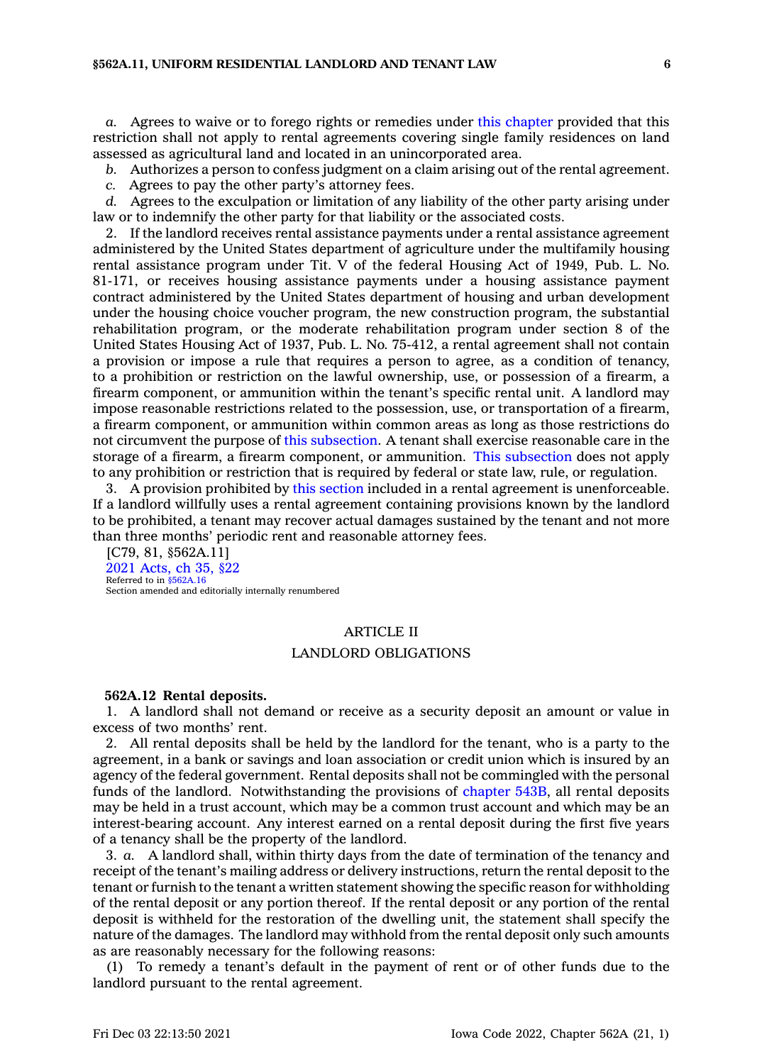*a.* Agrees to waive or to forego rights or remedies under this [chapter](https://www.legis.iowa.gov/docs/code//562A.pdf) provided that this restriction shall not apply to rental agreements covering single family residences on land assessed as agricultural land and located in an unincorporated area.

*b.* Authorizes <sup>a</sup> person to confess judgment on <sup>a</sup> claim arising out of the rental agreement.

*c.* Agrees to pay the other party's attorney fees.

*d.* Agrees to the exculpation or limitation of any liability of the other party arising under law or to indemnify the other party for that liability or the associated costs.

2. If the landlord receives rental assistance payments under <sup>a</sup> rental assistance agreement administered by the United States department of agriculture under the multifamily housing rental assistance program under Tit. V of the federal Housing Act of 1949, Pub. L. No. 81-171, or receives housing assistance payments under <sup>a</sup> housing assistance payment contract administered by the United States department of housing and urban development under the housing choice voucher program, the new construction program, the substantial rehabilitation program, or the moderate rehabilitation program under section 8 of the United States Housing Act of 1937, Pub. L. No. 75-412, <sup>a</sup> rental agreement shall not contain <sup>a</sup> provision or impose <sup>a</sup> rule that requires <sup>a</sup> person to agree, as <sup>a</sup> condition of tenancy, to <sup>a</sup> prohibition or restriction on the lawful ownership, use, or possession of <sup>a</sup> firearm, <sup>a</sup> firearm component, or ammunition within the tenant's specific rental unit. A landlord may impose reasonable restrictions related to the possession, use, or transportation of <sup>a</sup> firearm, <sup>a</sup> firearm component, or ammunition within common areas as long as those restrictions do not circumvent the purpose of this [subsection](https://www.legis.iowa.gov/docs/code/562A.11.pdf). A tenant shall exercise reasonable care in the storage of <sup>a</sup> firearm, <sup>a</sup> firearm component, or ammunition. This [subsection](https://www.legis.iowa.gov/docs/code/562A.11.pdf) does not apply to any prohibition or restriction that is required by federal or state law, rule, or regulation.

3. A provision prohibited by this [section](https://www.legis.iowa.gov/docs/code/562A.11.pdf) included in <sup>a</sup> rental agreement is unenforceable. If <sup>a</sup> landlord willfully uses <sup>a</sup> rental agreement containing provisions known by the landlord to be prohibited, <sup>a</sup> tenant may recover actual damages sustained by the tenant and not more than three months' periodic rent and reasonable attorney fees.

[C79, 81, §562A.11] 2021 [Acts,](https://www.legis.iowa.gov/docs/acts/2021/CH0035.pdf) ch 35, §22 Referred to in [§562A.16](https://www.legis.iowa.gov/docs/code/562A.16.pdf) Section amended and editorially internally renumbered

# ARTICLE II

## LANDLORD OBLIGATIONS

#### **562A.12 Rental deposits.**

1. A landlord shall not demand or receive as <sup>a</sup> security deposit an amount or value in excess of two months' rent.

2. All rental deposits shall be held by the landlord for the tenant, who is <sup>a</sup> party to the agreement, in <sup>a</sup> bank or savings and loan association or credit union which is insured by an agency of the federal government. Rental deposits shall not be commingled with the personal funds of the landlord. Notwithstanding the provisions of [chapter](https://www.legis.iowa.gov/docs/code//543B.pdf) 543B, all rental deposits may be held in <sup>a</sup> trust account, which may be <sup>a</sup> common trust account and which may be an interest-bearing account. Any interest earned on <sup>a</sup> rental deposit during the first five years of <sup>a</sup> tenancy shall be the property of the landlord.

3. *a.* A landlord shall, within thirty days from the date of termination of the tenancy and receipt of the tenant's mailing address or delivery instructions, return the rental deposit to the tenant or furnish to the tenant <sup>a</sup> written statement showing the specific reason for withholding of the rental deposit or any portion thereof. If the rental deposit or any portion of the rental deposit is withheld for the restoration of the dwelling unit, the statement shall specify the nature of the damages. The landlord may withhold from the rental deposit only such amounts as are reasonably necessary for the following reasons:

(1) To remedy <sup>a</sup> tenant's default in the payment of rent or of other funds due to the landlord pursuant to the rental agreement.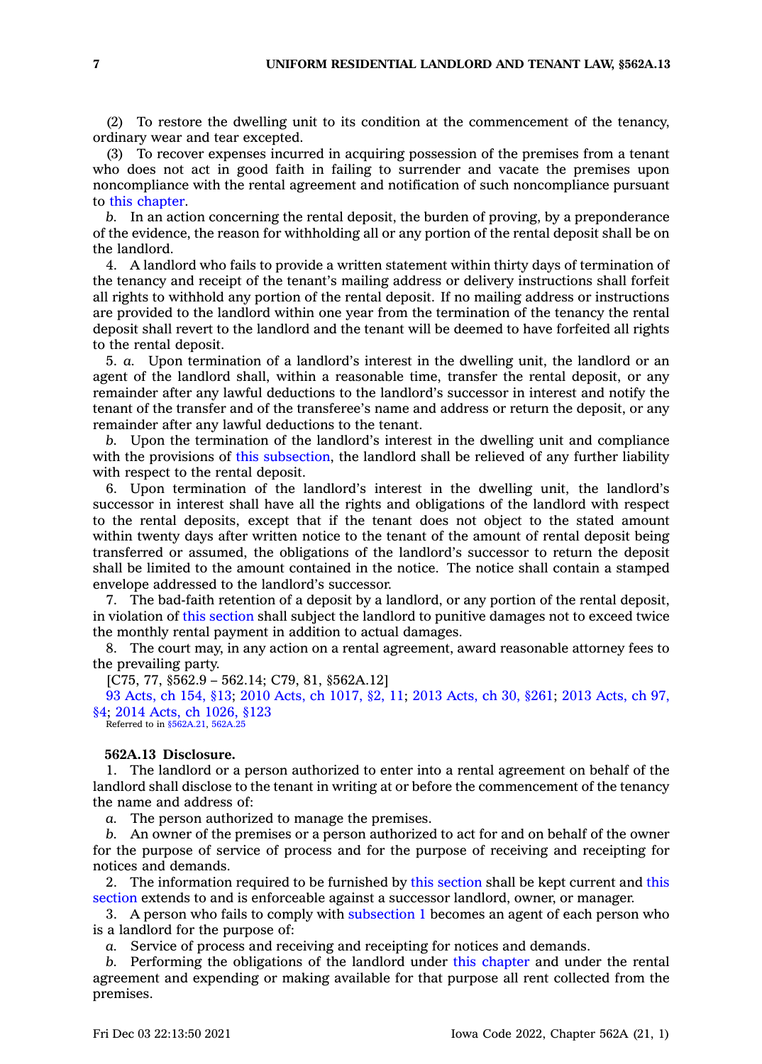(2) To restore the dwelling unit to its condition at the commencement of the tenancy, ordinary wear and tear excepted.

(3) To recover expenses incurred in acquiring possession of the premises from <sup>a</sup> tenant who does not act in good faith in failing to surrender and vacate the premises upon noncompliance with the rental agreement and notification of such noncompliance pursuant to this [chapter](https://www.legis.iowa.gov/docs/code//562A.pdf).

*b.* In an action concerning the rental deposit, the burden of proving, by <sup>a</sup> preponderance of the evidence, the reason for withholding all or any portion of the rental deposit shall be on the landlord.

4. A landlord who fails to provide <sup>a</sup> written statement within thirty days of termination of the tenancy and receipt of the tenant's mailing address or delivery instructions shall forfeit all rights to withhold any portion of the rental deposit. If no mailing address or instructions are provided to the landlord within one year from the termination of the tenancy the rental deposit shall revert to the landlord and the tenant will be deemed to have forfeited all rights to the rental deposit.

5. *a.* Upon termination of <sup>a</sup> landlord's interest in the dwelling unit, the landlord or an agent of the landlord shall, within <sup>a</sup> reasonable time, transfer the rental deposit, or any remainder after any lawful deductions to the landlord's successor in interest and notify the tenant of the transfer and of the transferee's name and address or return the deposit, or any remainder after any lawful deductions to the tenant.

*b.* Upon the termination of the landlord's interest in the dwelling unit and compliance with the provisions of this [subsection](https://www.legis.iowa.gov/docs/code/562A.12.pdf), the landlord shall be relieved of any further liability with respect to the rental deposit.

6. Upon termination of the landlord's interest in the dwelling unit, the landlord's successor in interest shall have all the rights and obligations of the landlord with respect to the rental deposits, except that if the tenant does not object to the stated amount within twenty days after written notice to the tenant of the amount of rental deposit being transferred or assumed, the obligations of the landlord's successor to return the deposit shall be limited to the amount contained in the notice. The notice shall contain <sup>a</sup> stamped envelope addressed to the landlord's successor.

7. The bad-faith retention of <sup>a</sup> deposit by <sup>a</sup> landlord, or any portion of the rental deposit, in violation of this [section](https://www.legis.iowa.gov/docs/code/562A.12.pdf) shall subject the landlord to punitive damages not to exceed twice the monthly rental payment in addition to actual damages.

8. The court may, in any action on <sup>a</sup> rental agreement, award reasonable attorney fees to the prevailing party.

[C75, 77, §562.9 – 562.14; C79, 81, §562A.12]

93 [Acts,](https://www.legis.iowa.gov/docs/acts/1993/CH0154.pdf) ch 154, §13; 2010 Acts, ch [1017,](https://www.legis.iowa.gov/docs/acts/2010/CH1017.pdf) §2, 11; 2013 [Acts,](https://www.legis.iowa.gov/docs/acts/2013/CH0030.pdf) ch 30, §261; 2013 [Acts,](https://www.legis.iowa.gov/docs/acts/2013/CH0097.pdf) ch 97, [§4](https://www.legis.iowa.gov/docs/acts/2013/CH0097.pdf); 2014 Acts, ch [1026,](https://www.legis.iowa.gov/docs/acts/2014/CH1026.pdf) §123

Referred to in  $$562A.21, 562A$ .

## **562A.13 Disclosure.**

1. The landlord or <sup>a</sup> person authorized to enter into <sup>a</sup> rental agreement on behalf of the landlord shall disclose to the tenant in writing at or before the commencement of the tenancy the name and address of:

*a.* The person authorized to manage the premises.

*b.* An owner of the premises or <sup>a</sup> person authorized to act for and on behalf of the owner for the purpose of service of process and for the purpose of receiving and receipting for notices and demands.

2. The information required to be furnished by this [section](https://www.legis.iowa.gov/docs/code/562A.13.pdf) shall be kept current and [this](https://www.legis.iowa.gov/docs/code/562A.13.pdf) [section](https://www.legis.iowa.gov/docs/code/562A.13.pdf) extends to and is enforceable against <sup>a</sup> successor landlord, owner, or manager.

3. A person who fails to comply with [subsection](https://www.legis.iowa.gov/docs/code/562A.13.pdf) 1 becomes an agent of each person who is <sup>a</sup> landlord for the purpose of:

*a.* Service of process and receiving and receipting for notices and demands.

*b.* Performing the obligations of the landlord under this [chapter](https://www.legis.iowa.gov/docs/code//562A.pdf) and under the rental agreement and expending or making available for that purpose all rent collected from the premises.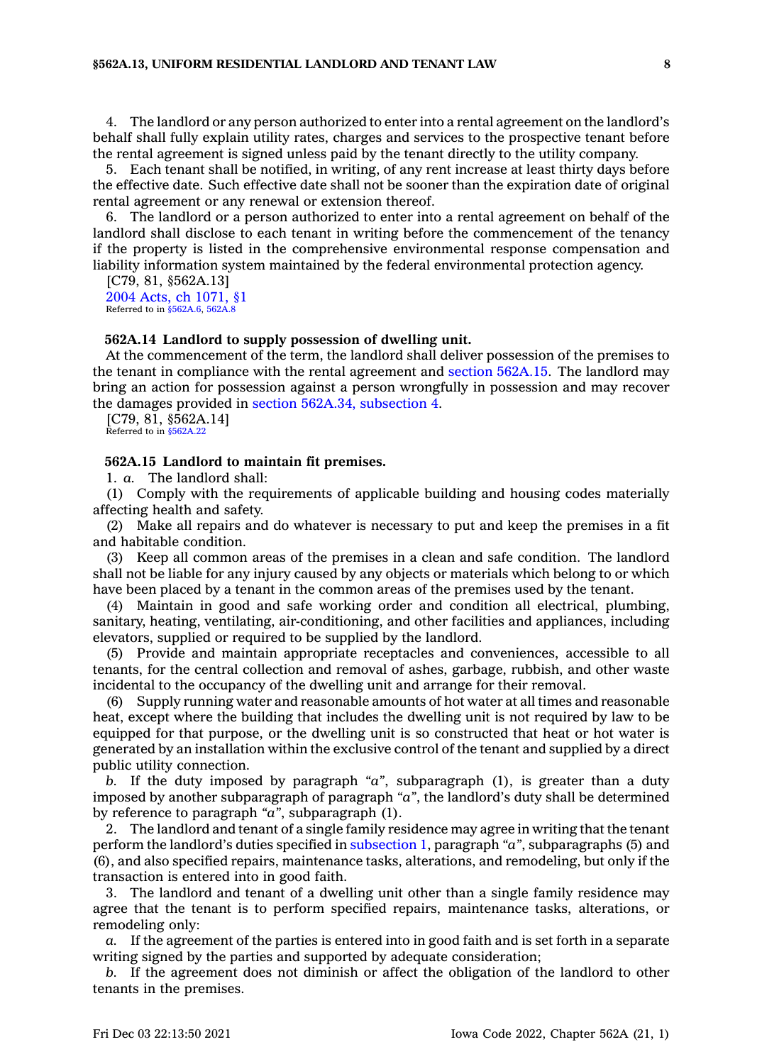4. The landlord or any person authorized to enter into <sup>a</sup> rental agreement on the landlord's behalf shall fully explain utility rates, charges and services to the prospective tenant before the rental agreement is signed unless paid by the tenant directly to the utility company.

5. Each tenant shall be notified, in writing, of any rent increase at least thirty days before the effective date. Such effective date shall not be sooner than the expiration date of original rental agreement or any renewal or extension thereof.

6. The landlord or <sup>a</sup> person authorized to enter into <sup>a</sup> rental agreement on behalf of the landlord shall disclose to each tenant in writing before the commencement of the tenancy if the property is listed in the comprehensive environmental response compensation and liability information system maintained by the federal environmental protection agency.

[C79, 81, §562A.13] 2004 Acts, ch [1071,](https://www.legis.iowa.gov/docs/acts/2004/CH1071.pdf) §1 Referred to in [§562A.6](https://www.legis.iowa.gov/docs/code/562A.6.pdf), [562A.8](https://www.legis.iowa.gov/docs/code/562A.8.pdf)

#### **562A.14 Landlord to supply possession of dwelling unit.**

At the commencement of the term, the landlord shall deliver possession of the premises to the tenant in compliance with the rental agreement and section [562A.15](https://www.legis.iowa.gov/docs/code/562A.15.pdf). The landlord may bring an action for possession against <sup>a</sup> person wrongfully in possession and may recover the damages provided in section 562A.34, [subsection](https://www.legis.iowa.gov/docs/code/562A.34.pdf) 4.

[C79, 81, §562A.14] Referred to in [§562A.22](https://www.legis.iowa.gov/docs/code/562A.22.pdf)

## **562A.15 Landlord to maintain fit premises.**

1. *a.* The landlord shall:

(1) Comply with the requirements of applicable building and housing codes materially affecting health and safety.

(2) Make all repairs and do whatever is necessary to put and keep the premises in <sup>a</sup> fit and habitable condition.

(3) Keep all common areas of the premises in <sup>a</sup> clean and safe condition. The landlord shall not be liable for any injury caused by any objects or materials which belong to or which have been placed by <sup>a</sup> tenant in the common areas of the premises used by the tenant.

(4) Maintain in good and safe working order and condition all electrical, plumbing, sanitary, heating, ventilating, air-conditioning, and other facilities and appliances, including elevators, supplied or required to be supplied by the landlord.

(5) Provide and maintain appropriate receptacles and conveniences, accessible to all tenants, for the central collection and removal of ashes, garbage, rubbish, and other waste incidental to the occupancy of the dwelling unit and arrange for their removal.

(6) Supply running water and reasonable amounts of hot water at all times and reasonable heat, except where the building that includes the dwelling unit is not required by law to be equipped for that purpose, or the dwelling unit is so constructed that heat or hot water is generated by an installation within the exclusive control of the tenant and supplied by <sup>a</sup> direct public utility connection.

*b.* If the duty imposed by paragraph *"a"*, subparagraph (1), is greater than <sup>a</sup> duty imposed by another subparagraph of paragraph *"a"*, the landlord's duty shall be determined by reference to paragraph *"a"*, subparagraph (1).

2. The landlord and tenant of <sup>a</sup> single family residence may agree in writing that the tenant perform the landlord's duties specified in [subsection](https://www.legis.iowa.gov/docs/code/562A.15.pdf) 1, paragraph *"a"*, subparagraphs (5) and (6), and also specified repairs, maintenance tasks, alterations, and remodeling, but only if the transaction is entered into in good faith.

3. The landlord and tenant of <sup>a</sup> dwelling unit other than <sup>a</sup> single family residence may agree that the tenant is to perform specified repairs, maintenance tasks, alterations, or remodeling only:

*a.* If the agreement of the parties is entered into in good faith and is set forth in <sup>a</sup> separate writing signed by the parties and supported by adequate consideration;

*b.* If the agreement does not diminish or affect the obligation of the landlord to other tenants in the premises.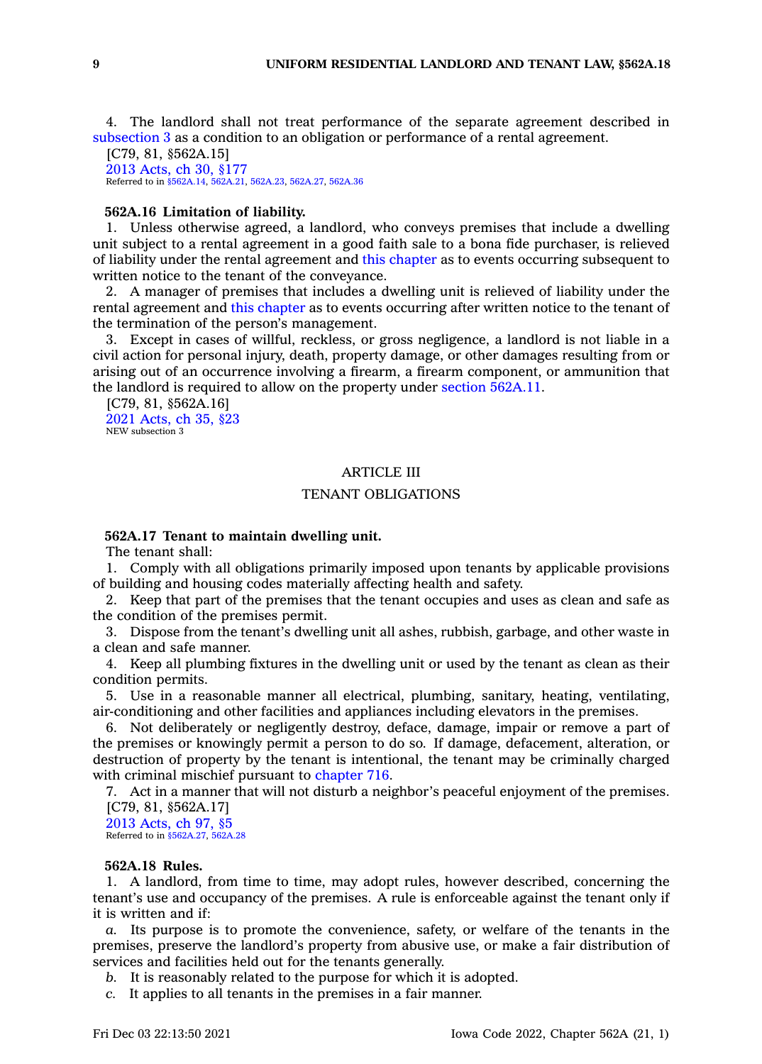4. The landlord shall not treat performance of the separate agreement described in [subsection](https://www.legis.iowa.gov/docs/code/562A.15.pdf) 3 as <sup>a</sup> condition to an obligation or performance of <sup>a</sup> rental agreement.

[C79, 81, §562A.15] 2013 [Acts,](https://www.legis.iowa.gov/docs/acts/2013/CH0030.pdf) ch 30, §177 Referred to in [§562A.14](https://www.legis.iowa.gov/docs/code/562A.14.pdf), [562A.21](https://www.legis.iowa.gov/docs/code/562A.21.pdf), [562A.23](https://www.legis.iowa.gov/docs/code/562A.23.pdf), [562A.27](https://www.legis.iowa.gov/docs/code/562A.27.pdf), [562A.36](https://www.legis.iowa.gov/docs/code/562A.36.pdf)

#### **562A.16 Limitation of liability.**

1. Unless otherwise agreed, <sup>a</sup> landlord, who conveys premises that include <sup>a</sup> dwelling unit subject to <sup>a</sup> rental agreement in <sup>a</sup> good faith sale to <sup>a</sup> bona fide purchaser, is relieved of liability under the rental agreement and this [chapter](https://www.legis.iowa.gov/docs/code//562A.pdf) as to events occurring subsequent to written notice to the tenant of the conveyance.

2. A manager of premises that includes <sup>a</sup> dwelling unit is relieved of liability under the rental agreement and this [chapter](https://www.legis.iowa.gov/docs/code//562A.pdf) as to events occurring after written notice to the tenant of the termination of the person's management.

3. Except in cases of willful, reckless, or gross negligence, <sup>a</sup> landlord is not liable in <sup>a</sup> civil action for personal injury, death, property damage, or other damages resulting from or arising out of an occurrence involving <sup>a</sup> firearm, <sup>a</sup> firearm component, or ammunition that the landlord is required to allow on the property under section [562A.11](https://www.legis.iowa.gov/docs/code/562A.11.pdf).

[C79, 81, §562A.16] 2021 [Acts,](https://www.legis.iowa.gov/docs/acts/2021/CH0035.pdf) ch 35, §23 NEW subsection 3

## ARTICLE III

# TENANT OBLIGATIONS

# **562A.17 Tenant to maintain dwelling unit.**

The tenant shall:

1. Comply with all obligations primarily imposed upon tenants by applicable provisions of building and housing codes materially affecting health and safety.

2. Keep that part of the premises that the tenant occupies and uses as clean and safe as the condition of the premises permit.

3. Dispose from the tenant's dwelling unit all ashes, rubbish, garbage, and other waste in <sup>a</sup> clean and safe manner.

4. Keep all plumbing fixtures in the dwelling unit or used by the tenant as clean as their condition permits.

5. Use in <sup>a</sup> reasonable manner all electrical, plumbing, sanitary, heating, ventilating, air-conditioning and other facilities and appliances including elevators in the premises.

6. Not deliberately or negligently destroy, deface, damage, impair or remove <sup>a</sup> part of the premises or knowingly permit <sup>a</sup> person to do so. If damage, defacement, alteration, or destruction of property by the tenant is intentional, the tenant may be criminally charged with criminal mischief pursuant to [chapter](https://www.legis.iowa.gov/docs/code//716.pdf) 716.

7. Act in <sup>a</sup> manner that will not disturb <sup>a</sup> neighbor's peaceful enjoyment of the premises. [C79, 81, §562A.17]

2013 [Acts,](https://www.legis.iowa.gov/docs/acts/2013/CH0097.pdf) ch 97, §5 Referred to in [§562A.27](https://www.legis.iowa.gov/docs/code/562A.27.pdf), [562A.28](https://www.legis.iowa.gov/docs/code/562A.28.pdf)

## **562A.18 Rules.**

1. A landlord, from time to time, may adopt rules, however described, concerning the tenant's use and occupancy of the premises. A rule is enforceable against the tenant only if it is written and if:

*a.* Its purpose is to promote the convenience, safety, or welfare of the tenants in the premises, preserve the landlord's property from abusive use, or make <sup>a</sup> fair distribution of services and facilities held out for the tenants generally.

*b.* It is reasonably related to the purpose for which it is adopted.

*c.* It applies to all tenants in the premises in <sup>a</sup> fair manner.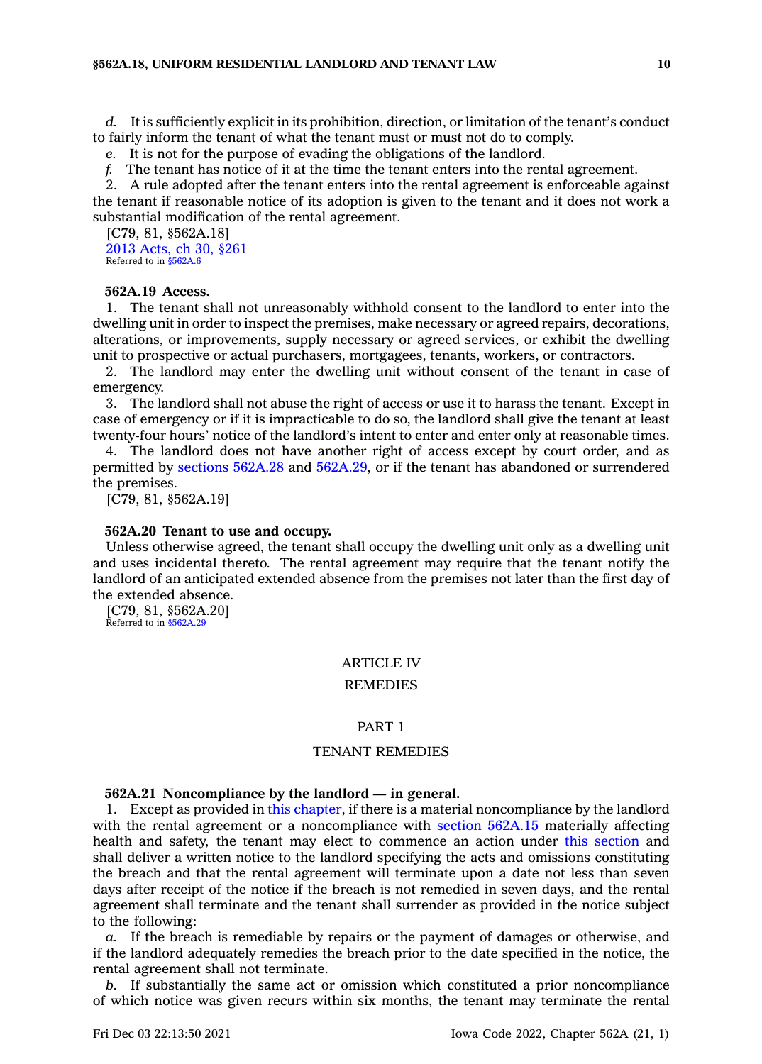*d.* It is sufficiently explicit in its prohibition, direction, or limitation of the tenant's conduct to fairly inform the tenant of what the tenant must or must not do to comply.

*e.* It is not for the purpose of evading the obligations of the landlord.

*f.* The tenant has notice of it at the time the tenant enters into the rental agreement.

2. A rule adopted after the tenant enters into the rental agreement is enforceable against the tenant if reasonable notice of its adoption is given to the tenant and it does not work <sup>a</sup> substantial modification of the rental agreement.

[C79, 81, §562A.18] 2013 [Acts,](https://www.legis.iowa.gov/docs/acts/2013/CH0030.pdf) ch 30, §261 Referred to in [§562A.6](https://www.legis.iowa.gov/docs/code/562A.6.pdf)

## **562A.19 Access.**

1. The tenant shall not unreasonably withhold consent to the landlord to enter into the dwelling unit in order to inspect the premises, make necessary or agreed repairs, decorations, alterations, or improvements, supply necessary or agreed services, or exhibit the dwelling unit to prospective or actual purchasers, mortgagees, tenants, workers, or contractors.

2. The landlord may enter the dwelling unit without consent of the tenant in case of emergency.

3. The landlord shall not abuse the right of access or use it to harass the tenant. Except in case of emergency or if it is impracticable to do so, the landlord shall give the tenant at least twenty-four hours' notice of the landlord's intent to enter and enter only at reasonable times.

4. The landlord does not have another right of access except by court order, and as permitted by sections [562A.28](https://www.legis.iowa.gov/docs/code/562A.28.pdf) and [562A.29](https://www.legis.iowa.gov/docs/code/562A.29.pdf), or if the tenant has abandoned or surrendered the premises.

[C79, 81, §562A.19]

#### **562A.20 Tenant to use and occupy.**

Unless otherwise agreed, the tenant shall occupy the dwelling unit only as <sup>a</sup> dwelling unit and uses incidental thereto. The rental agreement may require that the tenant notify the landlord of an anticipated extended absence from the premises not later than the first day of the extended absence.

[C79, 81, §562A.20] Referred to in [§562A.29](https://www.legis.iowa.gov/docs/code/562A.29.pdf)

## ARTICLE IV

## **REMEDIES**

#### PART 1

### TENANT REMEDIES

#### **562A.21 Noncompliance by the landlord — in general.**

1. Except as provided in this [chapter](https://www.legis.iowa.gov/docs/code//562A.pdf), if there is <sup>a</sup> material noncompliance by the landlord with the rental agreement or a noncompliance with section [562A.15](https://www.legis.iowa.gov/docs/code/562A.15.pdf) materially affecting health and safety, the tenant may elect to commence an action under this [section](https://www.legis.iowa.gov/docs/code/562A.21.pdf) and shall deliver <sup>a</sup> written notice to the landlord specifying the acts and omissions constituting the breach and that the rental agreement will terminate upon <sup>a</sup> date not less than seven days after receipt of the notice if the breach is not remedied in seven days, and the rental agreement shall terminate and the tenant shall surrender as provided in the notice subject to the following:

*a.* If the breach is remediable by repairs or the payment of damages or otherwise, and if the landlord adequately remedies the breach prior to the date specified in the notice, the rental agreement shall not terminate.

*b.* If substantially the same act or omission which constituted <sup>a</sup> prior noncompliance of which notice was given recurs within six months, the tenant may terminate the rental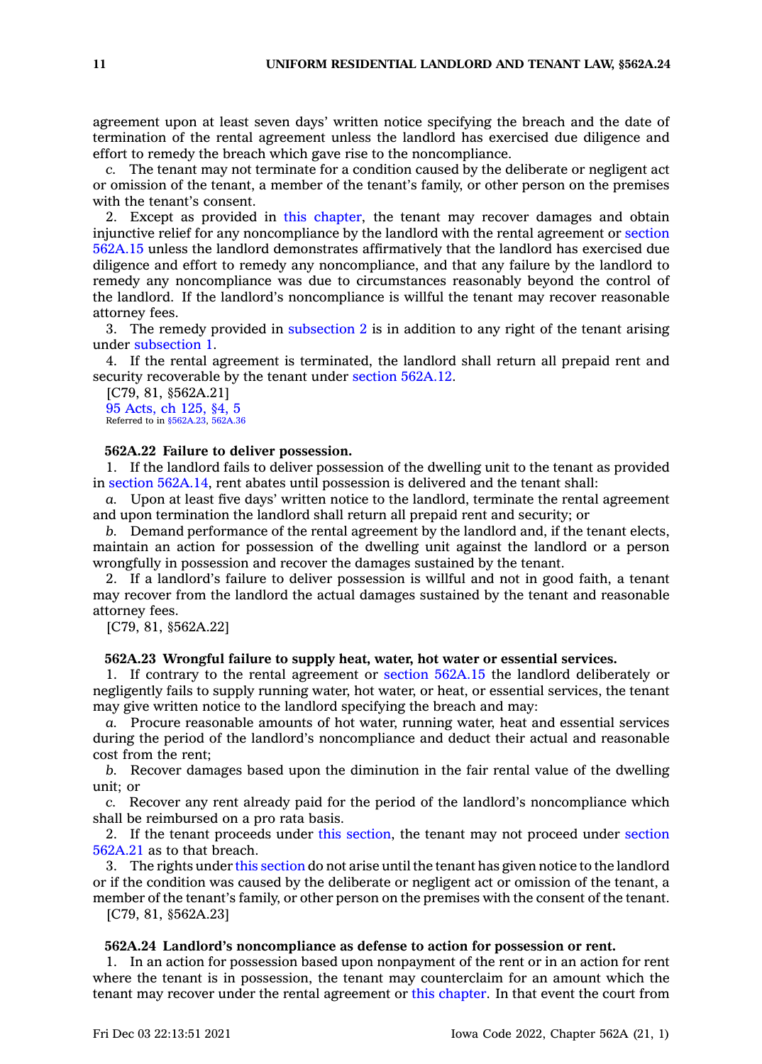agreement upon at least seven days' written notice specifying the breach and the date of termination of the rental agreement unless the landlord has exercised due diligence and effort to remedy the breach which gave rise to the noncompliance.

*c.* The tenant may not terminate for <sup>a</sup> condition caused by the deliberate or negligent act or omission of the tenant, <sup>a</sup> member of the tenant's family, or other person on the premises with the tenant's consent.

2. Except as provided in this [chapter](https://www.legis.iowa.gov/docs/code//562A.pdf), the tenant may recover damages and obtain injunctive relief for any noncompliance by the landlord with the rental agreement or [section](https://www.legis.iowa.gov/docs/code/562A.15.pdf) [562A.15](https://www.legis.iowa.gov/docs/code/562A.15.pdf) unless the landlord demonstrates affirmatively that the landlord has exercised due diligence and effort to remedy any noncompliance, and that any failure by the landlord to remedy any noncompliance was due to circumstances reasonably beyond the control of the landlord. If the landlord's noncompliance is willful the tenant may recover reasonable attorney fees.

3. The remedy provided in [subsection](https://www.legis.iowa.gov/docs/code/562A.21.pdf) 2 is in addition to any right of the tenant arising under [subsection](https://www.legis.iowa.gov/docs/code/562A.21.pdf) 1.

4. If the rental agreement is terminated, the landlord shall return all prepaid rent and security recoverable by the tenant under section [562A.12](https://www.legis.iowa.gov/docs/code/562A.12.pdf).

[C79, 81, §562A.21] 95 [Acts,](https://www.legis.iowa.gov/docs/acts/1995/CH0125.pdf) ch 125, §4, 5 Referred to in [§562A.23](https://www.legis.iowa.gov/docs/code/562A.23.pdf), [562A.36](https://www.legis.iowa.gov/docs/code/562A.36.pdf)

## **562A.22 Failure to deliver possession.**

1. If the landlord fails to deliver possession of the dwelling unit to the tenant as provided in section [562A.14](https://www.legis.iowa.gov/docs/code/562A.14.pdf), rent abates until possession is delivered and the tenant shall:

*a.* Upon at least five days' written notice to the landlord, terminate the rental agreement and upon termination the landlord shall return all prepaid rent and security; or

*b.* Demand performance of the rental agreement by the landlord and, if the tenant elects, maintain an action for possession of the dwelling unit against the landlord or <sup>a</sup> person wrongfully in possession and recover the damages sustained by the tenant.

2. If <sup>a</sup> landlord's failure to deliver possession is willful and not in good faith, <sup>a</sup> tenant may recover from the landlord the actual damages sustained by the tenant and reasonable attorney fees.

[C79, 81, §562A.22]

## **562A.23 Wrongful failure to supply heat, water, hot water or essential services.**

1. If contrary to the rental agreement or section [562A.15](https://www.legis.iowa.gov/docs/code/562A.15.pdf) the landlord deliberately or negligently fails to supply running water, hot water, or heat, or essential services, the tenant may give written notice to the landlord specifying the breach and may:

*a.* Procure reasonable amounts of hot water, running water, heat and essential services during the period of the landlord's noncompliance and deduct their actual and reasonable cost from the rent;

*b.* Recover damages based upon the diminution in the fair rental value of the dwelling unit; or

*c.* Recover any rent already paid for the period of the landlord's noncompliance which shall be reimbursed on <sup>a</sup> pro rata basis.

2. If the tenant proceeds under this [section](https://www.legis.iowa.gov/docs/code/562A.23.pdf), the tenant may not proceed under [section](https://www.legis.iowa.gov/docs/code/562A.21.pdf) [562A.21](https://www.legis.iowa.gov/docs/code/562A.21.pdf) as to that breach.

3. The rights under this [section](https://www.legis.iowa.gov/docs/code/562A.23.pdf) do not arise until the tenant has given notice to the landlord or if the condition was caused by the deliberate or negligent act or omission of the tenant, <sup>a</sup> member of the tenant's family, or other person on the premises with the consent of the tenant.

[C79, 81, §562A.23]

#### **562A.24 Landlord's noncompliance as defense to action for possession or rent.**

1. In an action for possession based upon nonpayment of the rent or in an action for rent where the tenant is in possession, the tenant may counterclaim for an amount which the tenant may recover under the rental agreement or this [chapter](https://www.legis.iowa.gov/docs/code//562A.pdf). In that event the court from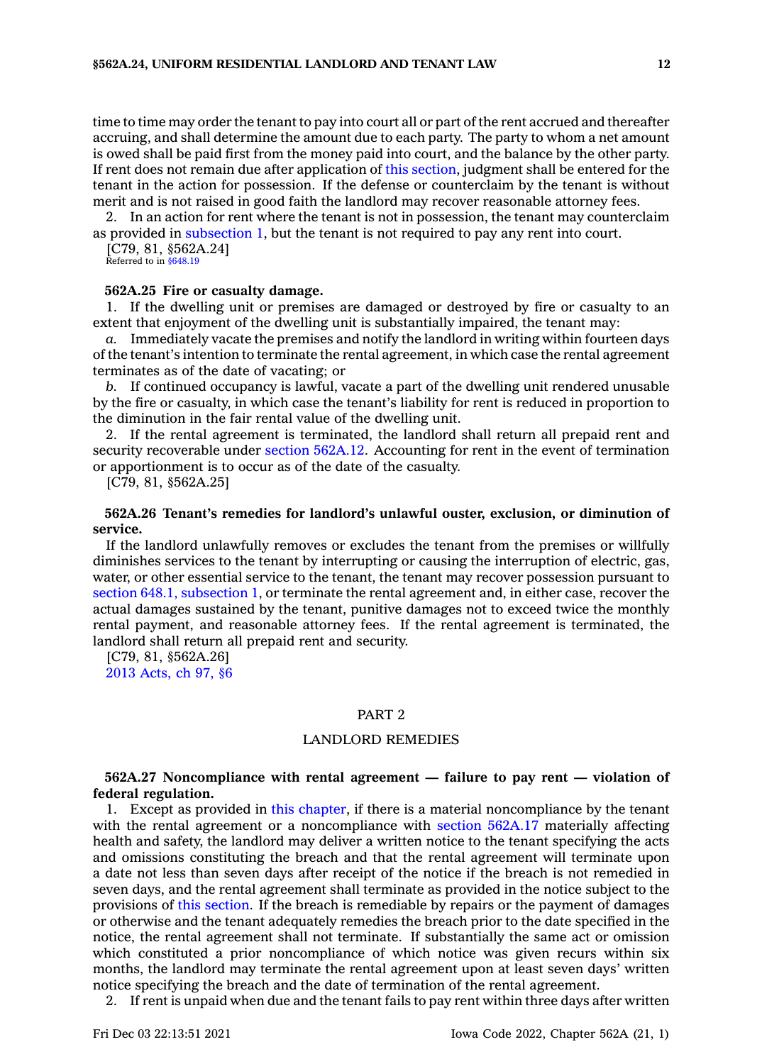time to time may order the tenant to pay into court all or part of the rent accrued and thereafter accruing, and shall determine the amount due to each party. The party to whom <sup>a</sup> net amount is owed shall be paid first from the money paid into court, and the balance by the other party. If rent does not remain due after application of this [section](https://www.legis.iowa.gov/docs/code/562A.24.pdf), judgment shall be entered for the tenant in the action for possession. If the defense or counterclaim by the tenant is without merit and is not raised in good faith the landlord may recover reasonable attorney fees.

2. In an action for rent where the tenant is not in possession, the tenant may counterclaim as provided in [subsection](https://www.legis.iowa.gov/docs/code/562A.24.pdf) 1, but the tenant is not required to pay any rent into court.

[C79, 81, §562A.24]

Referred to in [§648.19](https://www.legis.iowa.gov/docs/code/648.19.pdf)

#### **562A.25 Fire or casualty damage.**

1. If the dwelling unit or premises are damaged or destroyed by fire or casualty to an extent that enjoyment of the dwelling unit is substantially impaired, the tenant may:

*a.* Immediately vacate the premises and notify the landlord in writing within fourteen days of the tenant's intention to terminate the rental agreement, in which case the rental agreement terminates as of the date of vacating; or

*b.* If continued occupancy is lawful, vacate <sup>a</sup> part of the dwelling unit rendered unusable by the fire or casualty, in which case the tenant's liability for rent is reduced in proportion to the diminution in the fair rental value of the dwelling unit.

2. If the rental agreement is terminated, the landlord shall return all prepaid rent and security recoverable under section [562A.12](https://www.legis.iowa.gov/docs/code/562A.12.pdf). Accounting for rent in the event of termination or apportionment is to occur as of the date of the casualty.

[C79, 81, §562A.25]

## **562A.26 Tenant's remedies for landlord's unlawful ouster, exclusion, or diminution of service.**

If the landlord unlawfully removes or excludes the tenant from the premises or willfully diminishes services to the tenant by interrupting or causing the interruption of electric, gas, water, or other essential service to the tenant, the tenant may recover possession pursuant to section 648.1, [subsection](https://www.legis.iowa.gov/docs/code/648.1.pdf) 1, or terminate the rental agreement and, in either case, recover the actual damages sustained by the tenant, punitive damages not to exceed twice the monthly rental payment, and reasonable attorney fees. If the rental agreement is terminated, the landlord shall return all prepaid rent and security.

[C79, 81, §562A.26] 2013 [Acts,](https://www.legis.iowa.gov/docs/acts/2013/CH0097.pdf) ch 97, §6

# PART 2

#### LANDLORD REMEDIES

## **562A.27 Noncompliance with rental agreement — failure to pay rent — violation of federal regulation.**

1. Except as provided in this [chapter](https://www.legis.iowa.gov/docs/code//562A.pdf), if there is <sup>a</sup> material noncompliance by the tenant with the rental agreement or a noncompliance with section [562A.17](https://www.legis.iowa.gov/docs/code/562A.17.pdf) materially affecting health and safety, the landlord may deliver <sup>a</sup> written notice to the tenant specifying the acts and omissions constituting the breach and that the rental agreement will terminate upon <sup>a</sup> date not less than seven days after receipt of the notice if the breach is not remedied in seven days, and the rental agreement shall terminate as provided in the notice subject to the provisions of this [section](https://www.legis.iowa.gov/docs/code/562A.27.pdf). If the breach is remediable by repairs or the payment of damages or otherwise and the tenant adequately remedies the breach prior to the date specified in the notice, the rental agreement shall not terminate. If substantially the same act or omission which constituted <sup>a</sup> prior noncompliance of which notice was given recurs within six months, the landlord may terminate the rental agreement upon at least seven days' written notice specifying the breach and the date of termination of the rental agreement.

2. If rent is unpaid when due and the tenant fails to pay rent within three days after written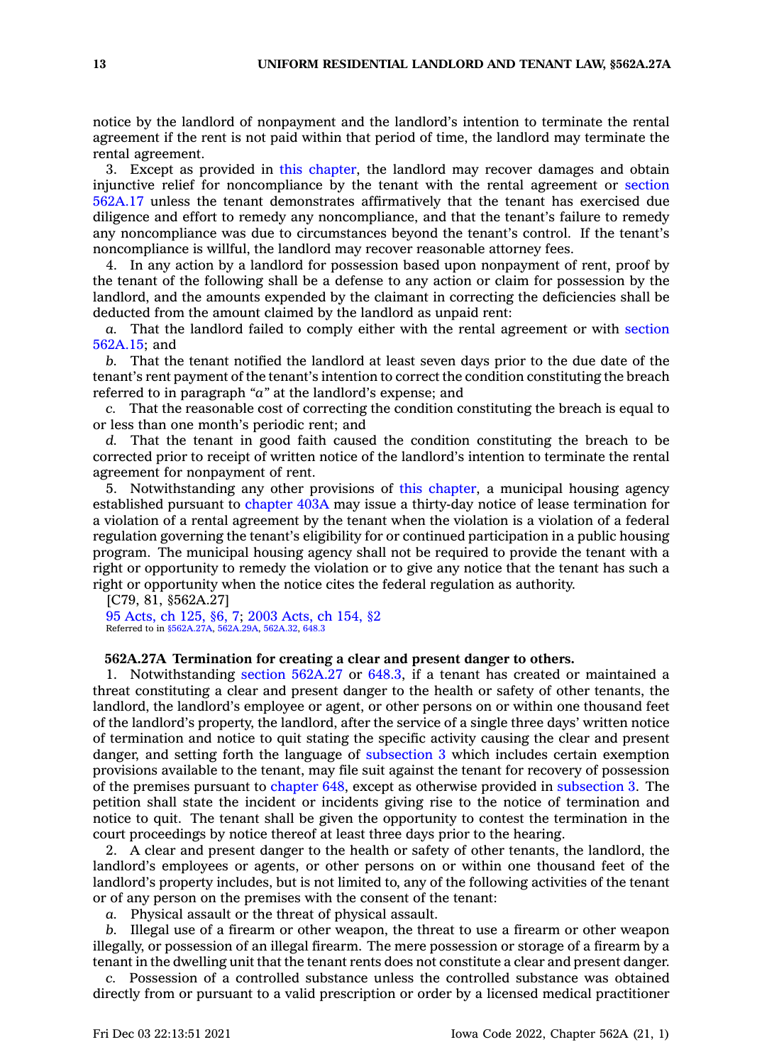notice by the landlord of nonpayment and the landlord's intention to terminate the rental agreement if the rent is not paid within that period of time, the landlord may terminate the rental agreement.

3. Except as provided in this [chapter](https://www.legis.iowa.gov/docs/code//562A.pdf), the landlord may recover damages and obtain injunctive relief for noncompliance by the tenant with the rental agreement or [section](https://www.legis.iowa.gov/docs/code/562A.17.pdf) [562A.17](https://www.legis.iowa.gov/docs/code/562A.17.pdf) unless the tenant demonstrates affirmatively that the tenant has exercised due diligence and effort to remedy any noncompliance, and that the tenant's failure to remedy any noncompliance was due to circumstances beyond the tenant's control. If the tenant's noncompliance is willful, the landlord may recover reasonable attorney fees.

4. In any action by <sup>a</sup> landlord for possession based upon nonpayment of rent, proof by the tenant of the following shall be <sup>a</sup> defense to any action or claim for possession by the landlord, and the amounts expended by the claimant in correcting the deficiencies shall be deducted from the amount claimed by the landlord as unpaid rent:

*a.* That the landlord failed to comply either with the rental agreement or with [section](https://www.legis.iowa.gov/docs/code/562A.15.pdf) [562A.15](https://www.legis.iowa.gov/docs/code/562A.15.pdf); and

*b.* That the tenant notified the landlord at least seven days prior to the due date of the tenant's rent payment of the tenant's intention to correct the condition constituting the breach referred to in paragraph *"a"* at the landlord's expense; and

*c.* That the reasonable cost of correcting the condition constituting the breach is equal to or less than one month's periodic rent; and

*d.* That the tenant in good faith caused the condition constituting the breach to be corrected prior to receipt of written notice of the landlord's intention to terminate the rental agreement for nonpayment of rent.

5. Notwithstanding any other provisions of this [chapter](https://www.legis.iowa.gov/docs/code//562A.pdf), <sup>a</sup> municipal housing agency established pursuant to [chapter](https://www.legis.iowa.gov/docs/code//403A.pdf) 403A may issue <sup>a</sup> thirty-day notice of lease termination for <sup>a</sup> violation of <sup>a</sup> rental agreement by the tenant when the violation is <sup>a</sup> violation of <sup>a</sup> federal regulation governing the tenant's eligibility for or continued participation in <sup>a</sup> public housing program. The municipal housing agency shall not be required to provide the tenant with <sup>a</sup> right or opportunity to remedy the violation or to give any notice that the tenant has such <sup>a</sup> right or opportunity when the notice cites the federal regulation as authority.

[C79, 81, §562A.27] 95 [Acts,](https://www.legis.iowa.gov/docs/acts/1995/CH0125.pdf) ch 125, §6, 7; 2003 [Acts,](https://www.legis.iowa.gov/docs/acts/2003/CH0154.pdf) ch 154, §2 Referred to in [§562A.27A,](https://www.legis.iowa.gov/docs/code/562A.27A.pdf) [562A.29A](https://www.legis.iowa.gov/docs/code/562A.29A.pdf), [562A.32](https://www.legis.iowa.gov/docs/code/562A.32.pdf), [648.3](https://www.legis.iowa.gov/docs/code/648.3.pdf)

### **562A.27A Termination for creating <sup>a</sup> clear and present danger to others.**

1. Notwithstanding section [562A.27](https://www.legis.iowa.gov/docs/code/562A.27.pdf) or [648.3](https://www.legis.iowa.gov/docs/code/648.3.pdf), if <sup>a</sup> tenant has created or maintained <sup>a</sup> threat constituting <sup>a</sup> clear and present danger to the health or safety of other tenants, the landlord, the landlord's employee or agent, or other persons on or within one thousand feet of the landlord's property, the landlord, after the service of <sup>a</sup> single three days' written notice of termination and notice to quit stating the specific activity causing the clear and present danger, and setting forth the language of [subsection](https://www.legis.iowa.gov/docs/code/562A.27A.pdf) 3 which includes certain exemption provisions available to the tenant, may file suit against the tenant for recovery of possession of the premises pursuant to [chapter](https://www.legis.iowa.gov/docs/code//648.pdf) 648, except as otherwise provided in [subsection](https://www.legis.iowa.gov/docs/code/562A.27A.pdf) 3. The petition shall state the incident or incidents giving rise to the notice of termination and notice to quit. The tenant shall be given the opportunity to contest the termination in the court proceedings by notice thereof at least three days prior to the hearing.

2. A clear and present danger to the health or safety of other tenants, the landlord, the landlord's employees or agents, or other persons on or within one thousand feet of the landlord's property includes, but is not limited to, any of the following activities of the tenant or of any person on the premises with the consent of the tenant:

*a.* Physical assault or the threat of physical assault.

*b.* Illegal use of <sup>a</sup> firearm or other weapon, the threat to use <sup>a</sup> firearm or other weapon illegally, or possession of an illegal firearm. The mere possession or storage of <sup>a</sup> firearm by <sup>a</sup> tenant in the dwelling unit that the tenant rents does not constitute <sup>a</sup> clear and present danger.

*c.* Possession of <sup>a</sup> controlled substance unless the controlled substance was obtained directly from or pursuant to <sup>a</sup> valid prescription or order by <sup>a</sup> licensed medical practitioner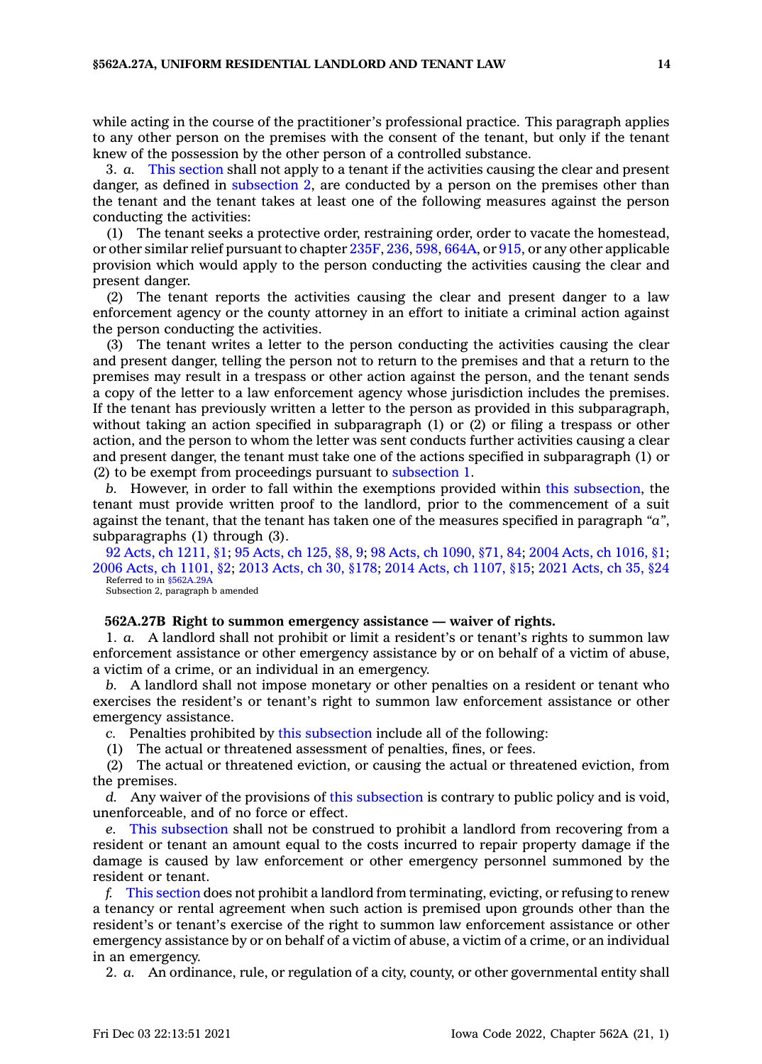while acting in the course of the practitioner's professional practice. This paragraph applies to any other person on the premises with the consent of the tenant, but only if the tenant knew of the possession by the other person of <sup>a</sup> controlled substance.

3. *a.* This [section](https://www.legis.iowa.gov/docs/code/562A.27A.pdf) shall not apply to <sup>a</sup> tenant if the activities causing the clear and present danger, as defined in [subsection](https://www.legis.iowa.gov/docs/code/562A.27A.pdf) 2, are conducted by <sup>a</sup> person on the premises other than the tenant and the tenant takes at least one of the following measures against the person conducting the activities:

(1) The tenant seeks <sup>a</sup> protective order, restraining order, order to vacate the homestead, or other similar relief pursuant to chapter [235F](https://www.legis.iowa.gov/docs/code//235F.pdf), [236](https://www.legis.iowa.gov/docs/code//236.pdf), [598](https://www.legis.iowa.gov/docs/code//598.pdf), [664A](https://www.legis.iowa.gov/docs/code//664A.pdf), or [915](https://www.legis.iowa.gov/docs/code//915.pdf), or any other applicable provision which would apply to the person conducting the activities causing the clear and present danger.

(2) The tenant reports the activities causing the clear and present danger to <sup>a</sup> law enforcement agency or the county attorney in an effort to initiate <sup>a</sup> criminal action against the person conducting the activities.

(3) The tenant writes <sup>a</sup> letter to the person conducting the activities causing the clear and present danger, telling the person not to return to the premises and that <sup>a</sup> return to the premises may result in <sup>a</sup> trespass or other action against the person, and the tenant sends <sup>a</sup> copy of the letter to <sup>a</sup> law enforcement agency whose jurisdiction includes the premises. If the tenant has previously written <sup>a</sup> letter to the person as provided in this subparagraph, without taking an action specified in subparagraph (1) or (2) or filing <sup>a</sup> trespass or other action, and the person to whom the letter was sent conducts further activities causing <sup>a</sup> clear and present danger, the tenant must take one of the actions specified in subparagraph (1) or (2) to be exempt from proceedings pursuant to [subsection](https://www.legis.iowa.gov/docs/code/562A.27A.pdf) 1.

*b.* However, in order to fall within the exemptions provided within this [subsection](https://www.legis.iowa.gov/docs/code/562A.27A.pdf), the tenant must provide written proof to the landlord, prior to the commencement of <sup>a</sup> suit against the tenant, that the tenant has taken one of the measures specified in paragraph *"a"*, subparagraphs (1) through (3).

92 Acts, ch [1211,](https://www.legis.iowa.gov/docs/acts/1992/CH1211.pdf) §1; 95 [Acts,](https://www.legis.iowa.gov/docs/acts/95/CH0125.pdf) ch 125, §8, 9; 98 Acts, ch [1090,](https://www.legis.iowa.gov/docs/acts/98/CH1090.pdf) §71, 84; 2004 Acts, ch [1016,](https://www.legis.iowa.gov/docs/acts/2004/CH1016.pdf) §1; 2006 Acts, ch [1101,](https://www.legis.iowa.gov/docs/acts/2006/CH1101.pdf) §2; 2013 [Acts,](https://www.legis.iowa.gov/docs/acts/2013/CH0030.pdf) ch 30, §178; 2014 Acts, ch [1107,](https://www.legis.iowa.gov/docs/acts/2014/CH1107.pdf) §15; 2021 [Acts,](https://www.legis.iowa.gov/docs/acts/2021/CH0035.pdf) ch 35, §24 Referred to in [§562A.29A](https://www.legis.iowa.gov/docs/code/562A.29A.pdf)

Subsection 2, paragraph b amended

#### **562A.27B Right to summon emergency assistance — waiver of rights.**

1. *a.* A landlord shall not prohibit or limit <sup>a</sup> resident's or tenant's rights to summon law enforcement assistance or other emergency assistance by or on behalf of <sup>a</sup> victim of abuse, <sup>a</sup> victim of <sup>a</sup> crime, or an individual in an emergency.

*b.* A landlord shall not impose monetary or other penalties on <sup>a</sup> resident or tenant who exercises the resident's or tenant's right to summon law enforcement assistance or other emergency assistance.

*c.* Penalties prohibited by this [subsection](https://www.legis.iowa.gov/docs/code/562A.27B.pdf) include all of the following:

(1) The actual or threatened assessment of penalties, fines, or fees.

(2) The actual or threatened eviction, or causing the actual or threatened eviction, from the premises.

*d.* Any waiver of the provisions of this [subsection](https://www.legis.iowa.gov/docs/code/562A.27B.pdf) is contrary to public policy and is void, unenforceable, and of no force or effect.

*e.* This [subsection](https://www.legis.iowa.gov/docs/code/562A.27B.pdf) shall not be construed to prohibit <sup>a</sup> landlord from recovering from <sup>a</sup> resident or tenant an amount equal to the costs incurred to repair property damage if the damage is caused by law enforcement or other emergency personnel summoned by the resident or tenant.

*f.* This [section](https://www.legis.iowa.gov/docs/code/562A.27B.pdf) does not prohibit <sup>a</sup> landlord from terminating, evicting, or refusing to renew <sup>a</sup> tenancy or rental agreement when such action is premised upon grounds other than the resident's or tenant's exercise of the right to summon law enforcement assistance or other emergency assistance by or on behalf of <sup>a</sup> victim of abuse, <sup>a</sup> victim of <sup>a</sup> crime, or an individual in an emergency.

2. *a.* An ordinance, rule, or regulation of <sup>a</sup> city, county, or other governmental entity shall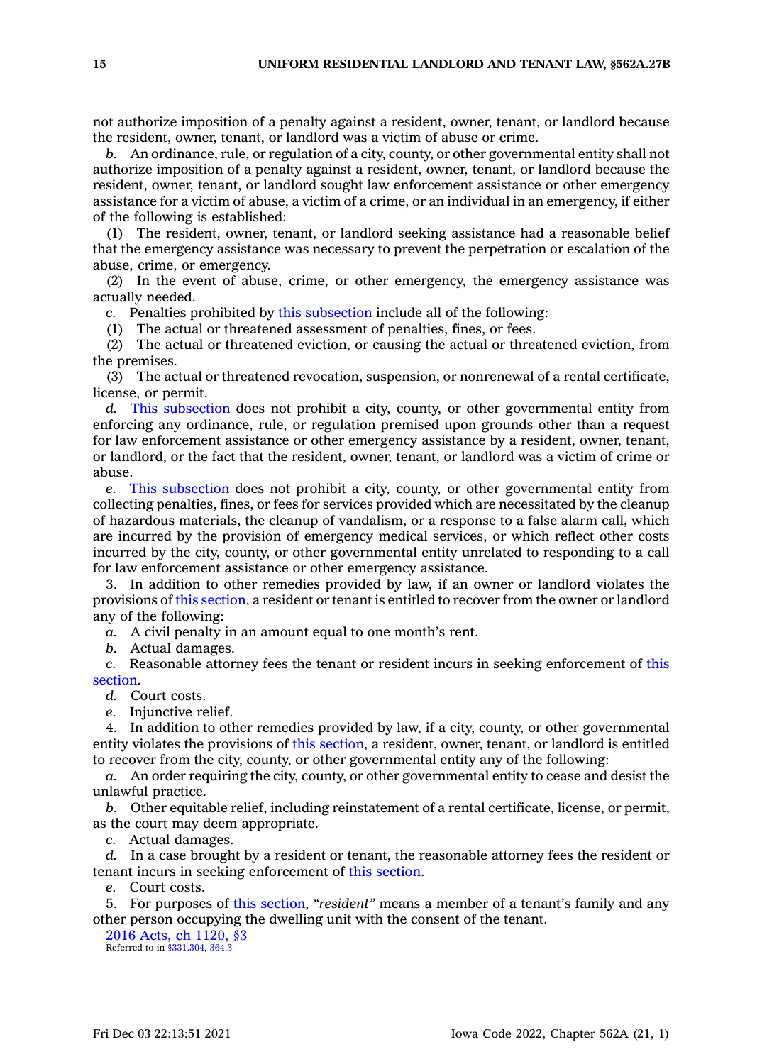not authorize imposition of <sup>a</sup> penalty against <sup>a</sup> resident, owner, tenant, or landlord because the resident, owner, tenant, or landlord was <sup>a</sup> victim of abuse or crime.

*b.* An ordinance, rule, or regulation of <sup>a</sup> city, county, or other governmental entity shall not authorize imposition of <sup>a</sup> penalty against <sup>a</sup> resident, owner, tenant, or landlord because the resident, owner, tenant, or landlord sought law enforcement assistance or other emergency assistance for <sup>a</sup> victim of abuse, <sup>a</sup> victim of <sup>a</sup> crime, or an individual in an emergency, if either of the following is established:

(1) The resident, owner, tenant, or landlord seeking assistance had <sup>a</sup> reasonable belief that the emergency assistance was necessary to prevent the perpetration or escalation of the abuse, crime, or emergency.

(2) In the event of abuse, crime, or other emergency, the emergency assistance was actually needed.

*c.* Penalties prohibited by this [subsection](https://www.legis.iowa.gov/docs/code/562A.27B.pdf) include all of the following:

(1) The actual or threatened assessment of penalties, fines, or fees.

(2) The actual or threatened eviction, or causing the actual or threatened eviction, from the premises.

(3) The actual or threatened revocation, suspension, or nonrenewal of <sup>a</sup> rental certificate, license, or permit.

*d.* This [subsection](https://www.legis.iowa.gov/docs/code/562A.27B.pdf) does not prohibit <sup>a</sup> city, county, or other governmental entity from enforcing any ordinance, rule, or regulation premised upon grounds other than <sup>a</sup> request for law enforcement assistance or other emergency assistance by <sup>a</sup> resident, owner, tenant, or landlord, or the fact that the resident, owner, tenant, or landlord was <sup>a</sup> victim of crime or abuse.

*e.* This [subsection](https://www.legis.iowa.gov/docs/code/562A.27B.pdf) does not prohibit <sup>a</sup> city, county, or other governmental entity from collecting penalties, fines, or fees for services provided which are necessitated by the cleanup of hazardous materials, the cleanup of vandalism, or <sup>a</sup> response to <sup>a</sup> false alarm call, which are incurred by the provision of emergency medical services, or which reflect other costs incurred by the city, county, or other governmental entity unrelated to responding to <sup>a</sup> call for law enforcement assistance or other emergency assistance.

3. In addition to other remedies provided by law, if an owner or landlord violates the provisions of this [section](https://www.legis.iowa.gov/docs/code/562A.27B.pdf), <sup>a</sup> resident or tenant is entitled to recover from the owner or landlord any of the following:

*a.* A civil penalty in an amount equal to one month's rent.

*b.* Actual damages.

*c.* Reasonable attorney fees the tenant or resident incurs in seeking enforcement of [this](https://www.legis.iowa.gov/docs/code/562A.27B.pdf) [section](https://www.legis.iowa.gov/docs/code/562A.27B.pdf).

*d.* Court costs.

*e.* Injunctive relief.

4. In addition to other remedies provided by law, if <sup>a</sup> city, county, or other governmental entity violates the provisions of this [section](https://www.legis.iowa.gov/docs/code/562A.27B.pdf), <sup>a</sup> resident, owner, tenant, or landlord is entitled to recover from the city, county, or other governmental entity any of the following:

*a.* An order requiring the city, county, or other governmental entity to cease and desist the unlawful practice.

*b.* Other equitable relief, including reinstatement of <sup>a</sup> rental certificate, license, or permit, as the court may deem appropriate.

*c.* Actual damages.

*d.* In <sup>a</sup> case brought by <sup>a</sup> resident or tenant, the reasonable attorney fees the resident or tenant incurs in seeking enforcement of this [section](https://www.legis.iowa.gov/docs/code/562A.27B.pdf).

*e.* Court costs.

5. For purposes of this [section](https://www.legis.iowa.gov/docs/code/562A.27B.pdf), *"resident"* means <sup>a</sup> member of <sup>a</sup> tenant's family and any other person occupying the dwelling unit with the consent of the tenant.

2016 Acts, ch [1120,](https://www.legis.iowa.gov/docs/acts/2016/CH1120.pdf) §3 Referred to in  $\frac{6331.304}{1}$ , 364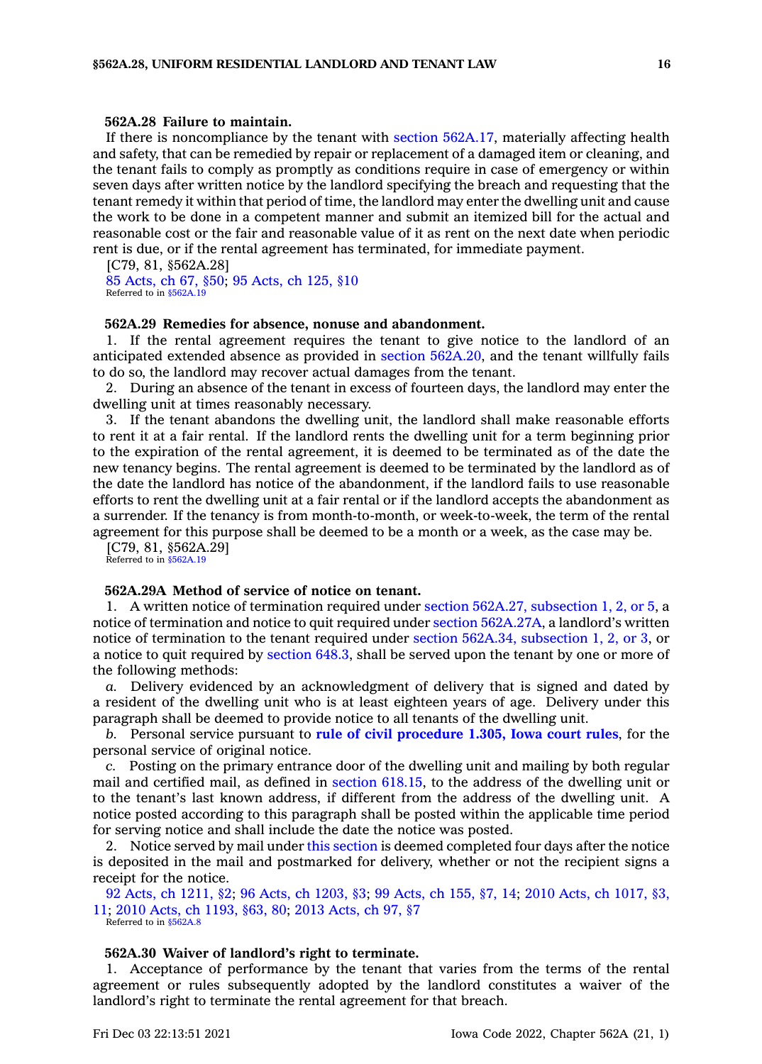## **562A.28 Failure to maintain.**

If there is noncompliance by the tenant with section [562A.17](https://www.legis.iowa.gov/docs/code/562A.17.pdf), materially affecting health and safety, that can be remedied by repair or replacement of <sup>a</sup> damaged item or cleaning, and the tenant fails to comply as promptly as conditions require in case of emergency or within seven days after written notice by the landlord specifying the breach and requesting that the tenant remedy it within that period of time, the landlord may enter the dwelling unit and cause the work to be done in <sup>a</sup> competent manner and submit an itemized bill for the actual and reasonable cost or the fair and reasonable value of it as rent on the next date when periodic rent is due, or if the rental agreement has terminated, for immediate payment.

[C79, 81, §562A.28] 85 [Acts,](https://www.legis.iowa.gov/docs/acts/1985/CH0067.pdf) ch 67, §50; 95 [Acts,](https://www.legis.iowa.gov/docs/acts/1995/CH0125.pdf) ch 125, §10 Referred to in [§562A.19](https://www.legis.iowa.gov/docs/code/562A.19.pdf)

### **562A.29 Remedies for absence, nonuse and abandonment.**

1. If the rental agreement requires the tenant to give notice to the landlord of an anticipated extended absence as provided in section [562A.20](https://www.legis.iowa.gov/docs/code/562A.20.pdf), and the tenant willfully fails to do so, the landlord may recover actual damages from the tenant.

2. During an absence of the tenant in excess of fourteen days, the landlord may enter the dwelling unit at times reasonably necessary.

3. If the tenant abandons the dwelling unit, the landlord shall make reasonable efforts to rent it at <sup>a</sup> fair rental. If the landlord rents the dwelling unit for <sup>a</sup> term beginning prior to the expiration of the rental agreement, it is deemed to be terminated as of the date the new tenancy begins. The rental agreement is deemed to be terminated by the landlord as of the date the landlord has notice of the abandonment, if the landlord fails to use reasonable efforts to rent the dwelling unit at <sup>a</sup> fair rental or if the landlord accepts the abandonment as <sup>a</sup> surrender. If the tenancy is from month-to-month, or week-to-week, the term of the rental agreement for this purpose shall be deemed to be <sup>a</sup> month or <sup>a</sup> week, as the case may be.

[C79, 81, §562A.29] Referred to in [§562A.19](https://www.legis.iowa.gov/docs/code/562A.19.pdf)

## **562A.29A Method of service of notice on tenant.**

1. A written notice of termination required under section 562A.27, [subsection](https://www.legis.iowa.gov/docs/code/562A.27.pdf) 1, 2, or 5, <sup>a</sup> notice of termination and notice to quit required under section [562A.27A](https://www.legis.iowa.gov/docs/code/562A.27A.pdf), <sup>a</sup> landlord's written notice of termination to the tenant required under section 562A.34, [subsection](https://www.legis.iowa.gov/docs/code/562A.34.pdf) 1, 2, or 3, or <sup>a</sup> notice to quit required by [section](https://www.legis.iowa.gov/docs/code/648.3.pdf) 648.3, shall be served upon the tenant by one or more of the following methods:

*a.* Delivery evidenced by an acknowledgment of delivery that is signed and dated by <sup>a</sup> resident of the dwelling unit who is at least eighteen years of age. Delivery under this paragraph shall be deemed to provide notice to all tenants of the dwelling unit.

*b.* Personal service pursuant to **rule of civil [procedure](https://www.legis.iowa.gov/docs/ACO/CourtRulesChapter/1.pdf) 1.305, Iowa court rules**, for the personal service of original notice.

*c.* Posting on the primary entrance door of the dwelling unit and mailing by both regular mail and certified mail, as defined in section [618.15](https://www.legis.iowa.gov/docs/code/618.15.pdf), to the address of the dwelling unit or to the tenant's last known address, if different from the address of the dwelling unit. A notice posted according to this paragraph shall be posted within the applicable time period for serving notice and shall include the date the notice was posted.

2. Notice served by mail under this [section](https://www.legis.iowa.gov/docs/code/562A.29A.pdf) is deemed completed four days after the notice is deposited in the mail and postmarked for delivery, whether or not the recipient signs <sup>a</sup> receipt for the notice.

92 Acts, ch [1211,](https://www.legis.iowa.gov/docs/acts/1992/CH1211.pdf) §2; 96 Acts, ch [1203,](https://www.legis.iowa.gov/docs/acts/96/CH1203.pdf) §3; 99 [Acts,](https://www.legis.iowa.gov/docs/acts/99/CH0155.pdf) ch 155, §7, 14; 2010 Acts, ch [1017,](https://www.legis.iowa.gov/docs/acts/2010/CH1017.pdf) §3, [11](https://www.legis.iowa.gov/docs/acts/2010/CH1017.pdf); 2010 Acts, ch [1193,](https://www.legis.iowa.gov/docs/acts/2010/CH1193.pdf) §63, 80; 2013 [Acts,](https://www.legis.iowa.gov/docs/acts/2013/CH0097.pdf) ch 97, §7

Referred to in [§562A.8](https://www.legis.iowa.gov/docs/code/562A.8.pdf)

#### **562A.30 Waiver of landlord's right to terminate.**

1. Acceptance of performance by the tenant that varies from the terms of the rental agreement or rules subsequently adopted by the landlord constitutes <sup>a</sup> waiver of the landlord's right to terminate the rental agreement for that breach.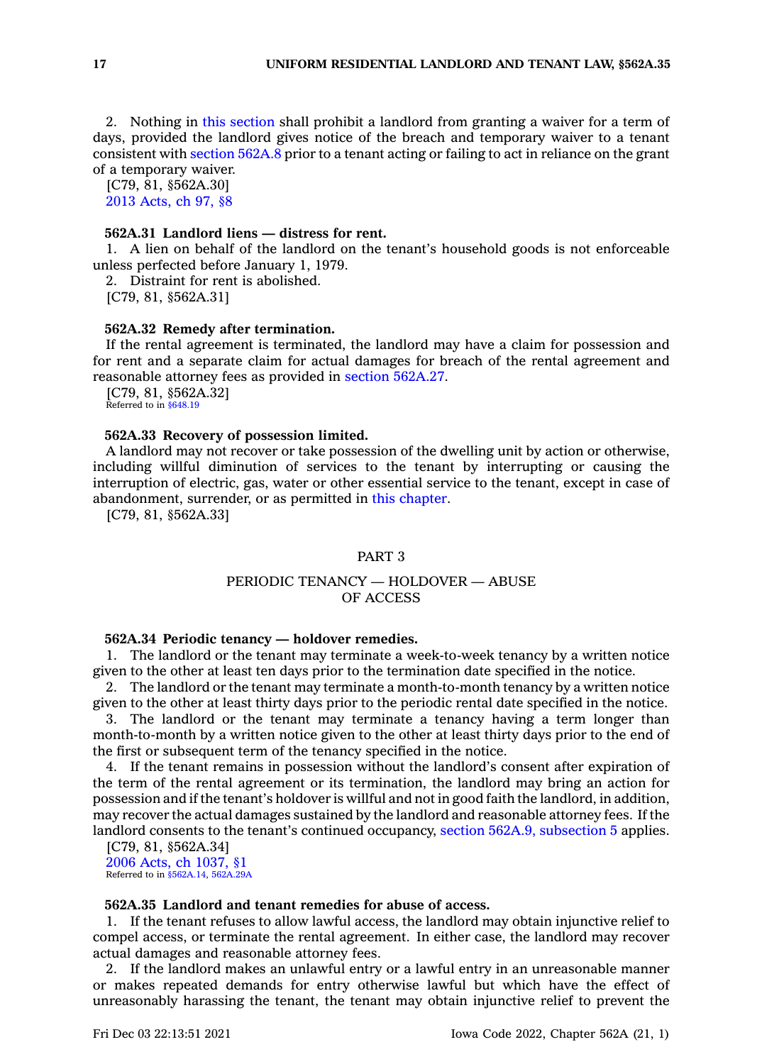2. Nothing in this [section](https://www.legis.iowa.gov/docs/code/562A.30.pdf) shall prohibit <sup>a</sup> landlord from granting <sup>a</sup> waiver for <sup>a</sup> term of days, provided the landlord gives notice of the breach and temporary waiver to <sup>a</sup> tenant consistent with [section](https://www.legis.iowa.gov/docs/code/562A.8.pdf) 562A.8 prior to <sup>a</sup> tenant acting or failing to act in reliance on the grant of <sup>a</sup> temporary waiver.

[C79, 81, §562A.30] 2013 [Acts,](https://www.legis.iowa.gov/docs/acts/2013/CH0097.pdf) ch 97, §8

## **562A.31 Landlord liens — distress for rent.**

1. A lien on behalf of the landlord on the tenant's household goods is not enforceable unless perfected before January 1, 1979.

2. Distraint for rent is abolished.

[C79, 81, §562A.31]

#### **562A.32 Remedy after termination.**

If the rental agreement is terminated, the landlord may have <sup>a</sup> claim for possession and for rent and <sup>a</sup> separate claim for actual damages for breach of the rental agreement and reasonable attorney fees as provided in section [562A.27](https://www.legis.iowa.gov/docs/code/562A.27.pdf).

[C79, 81, §562A.32] Referred to in  $$648.19$ 

#### **562A.33 Recovery of possession limited.**

A landlord may not recover or take possession of the dwelling unit by action or otherwise, including willful diminution of services to the tenant by interrupting or causing the interruption of electric, gas, water or other essential service to the tenant, except in case of abandonment, surrender, or as permitted in this [chapter](https://www.legis.iowa.gov/docs/code//562A.pdf).

[C79, 81, §562A.33]

## PART 3

## PERIODIC TENANCY — HOLDOVER — ABUSE OF ACCESS

#### **562A.34 Periodic tenancy — holdover remedies.**

1. The landlord or the tenant may terminate <sup>a</sup> week-to-week tenancy by <sup>a</sup> written notice given to the other at least ten days prior to the termination date specified in the notice.

2. The landlord or the tenant may terminate <sup>a</sup> month-to-month tenancy by <sup>a</sup> written notice given to the other at least thirty days prior to the periodic rental date specified in the notice.

3. The landlord or the tenant may terminate <sup>a</sup> tenancy having <sup>a</sup> term longer than month-to-month by <sup>a</sup> written notice given to the other at least thirty days prior to the end of the first or subsequent term of the tenancy specified in the notice.

4. If the tenant remains in possession without the landlord's consent after expiration of the term of the rental agreement or its termination, the landlord may bring an action for possession and if the tenant's holdover is willful and not in good faith the landlord, in addition, may recover the actual damages sustained by the landlord and reasonable attorney fees. If the landlord consents to the tenant's continued occupancy, section 562A.9, [subsection](https://www.legis.iowa.gov/docs/code/562A.9.pdf) 5 applies.

[C79, 81, §562A.34] 2006 Acts, ch [1037,](https://www.legis.iowa.gov/docs/acts/2006/CH1037.pdf) §1 Referred to in [§562A.14](https://www.legis.iowa.gov/docs/code/562A.14.pdf), [562A.29A](https://www.legis.iowa.gov/docs/code/562A.29A.pdf)

## **562A.35 Landlord and tenant remedies for abuse of access.**

1. If the tenant refuses to allow lawful access, the landlord may obtain injunctive relief to compel access, or terminate the rental agreement. In either case, the landlord may recover actual damages and reasonable attorney fees.

2. If the landlord makes an unlawful entry or <sup>a</sup> lawful entry in an unreasonable manner or makes repeated demands for entry otherwise lawful but which have the effect of unreasonably harassing the tenant, the tenant may obtain injunctive relief to prevent the